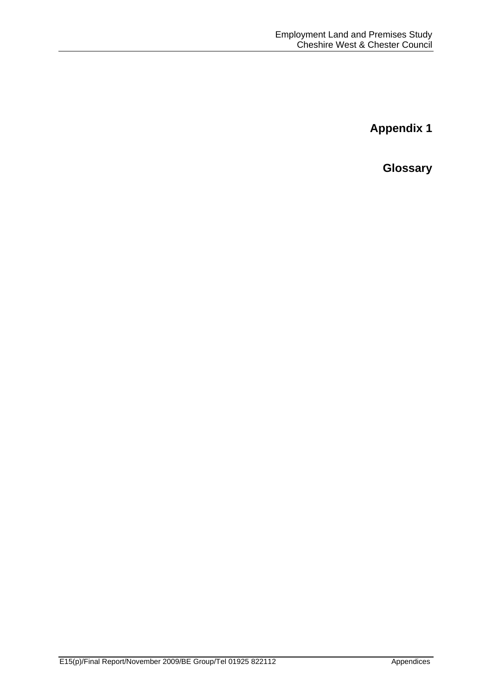**Glossary**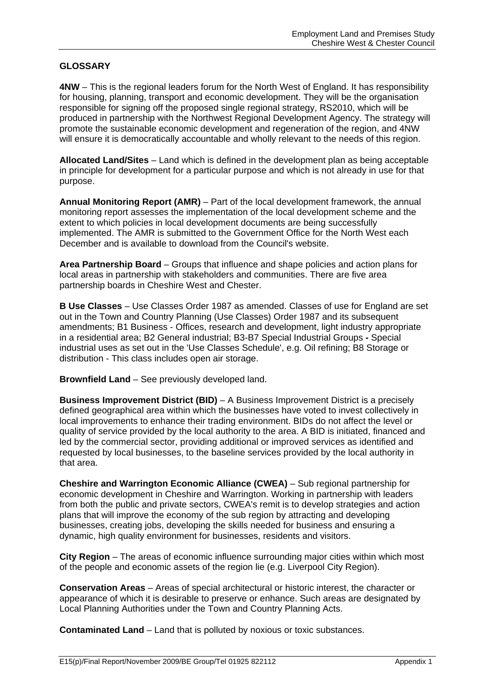## **GLOSSARY**

**4NW** – This is the regional leaders forum for the North West of England. It has responsibility for housing, planning, transport and economic development. They will be the organisation responsible for signing off the proposed single regional strategy, RS2010, which will be produced in partnership with the Northwest Regional Development Agency. The strategy will promote the sustainable economic development and regeneration of the region, and 4NW will ensure it is democratically accountable and wholly relevant to the needs of this region.

**Allocated Land/Sites** – Land which is defined in the development plan as being acceptable in principle for development for a particular purpose and which is not already in use for that purpose.

**Annual Monitoring Report (AMR)** – Part of the local development framework, the annual monitoring report assesses the implementation of the local development scheme and the extent to which policies in local development documents are being successfully implemented. The AMR is submitted to the Government Office for the North West each December and is available to download from the Council's website.

**Area Partnership Board** – Groups that influence and shape policies and action plans for local areas in partnership with stakeholders and communities. There are five area partnership boards in Cheshire West and Chester.

**B Use Classes** – Use Classes Order 1987 as amended. Classes of use for England are set out in the Town and Country Planning (Use Classes) Order 1987 and its subsequent amendments; B1 Business - Offices, research and development, light industry appropriate in a residential area; B2 General industrial; B3-B7 Special Industrial Groups **-** Special industrial uses as set out in the 'Use Classes Schedule', e.g. Oil refining; B8 Storage or distribution - This class includes open air storage.

**Brownfield Land** – See previously developed land.

**Business Improvement District (BID)** – A Business Improvement District is a precisely defined geographical area within which the businesses have voted to invest collectively in local improvements to enhance their trading environment. BIDs do not affect the level or quality of service provided by the local authority to the area. A BID is initiated, financed and led by the commercial sector, providing additional or improved services as identified and requested by local businesses, to the baseline services provided by the local authority in that area.

**Cheshire and Warrington Economic Alliance (CWEA) – Sub regional partnership for** economic development in Cheshire and Warrington. Working in partnership with leaders from both the public and private sectors, CWEA's remit is to develop strategies and action plans that will improve the economy of the sub region by attracting and developing businesses, creating jobs, developing the skills needed for business and ensuring a dynamic, high quality environment for businesses, residents and visitors.

**City Region** – The areas of economic influence surrounding major cities within which most of the people and economic assets of the region lie (e.g. Liverpool City Region).

**Conservation Areas** – Areas of special architectural or historic interest, the character or appearance of which it is desirable to preserve or enhance. Such areas are designated by Local Planning Authorities under the Town and Country Planning Acts.

**Contaminated Land** – Land that is polluted by noxious or toxic substances.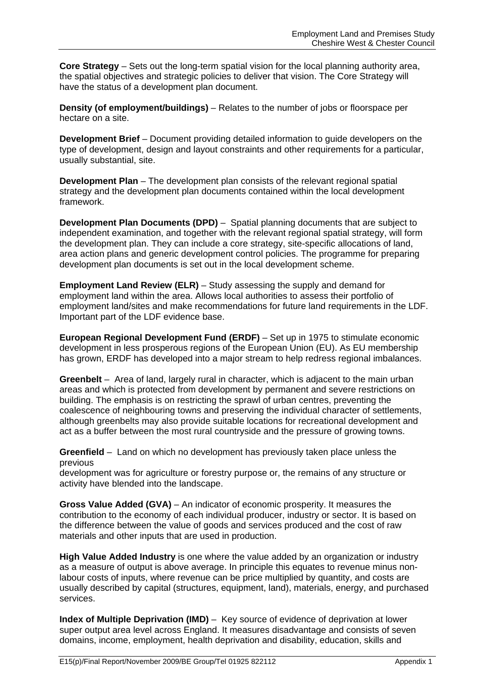**Core Strategy** – Sets out the long-term spatial vision for the local planning authority area, the spatial objectives and strategic policies to deliver that vision. The Core Strategy will have the status of a development plan document.

**Density (of employment/buildings)** – Relates to the number of jobs or floorspace per hectare on a site.

**Development Brief** – Document providing detailed information to guide developers on the type of development, design and layout constraints and other requirements for a particular, usually substantial, site.

**Development Plan** – The development plan consists of the relevant regional spatial strategy and the development plan documents contained within the local development framework.

**Development Plan Documents (DPD)** – Spatial planning documents that are subject to independent examination, and together with the relevant regional spatial strategy, will form the development plan. They can include a core strategy, site-specific allocations of land, area action plans and generic development control policies. The programme for preparing development plan documents is set out in the local development scheme.

**Employment Land Review (ELR)** – Study assessing the supply and demand for employment land within the area. Allows local authorities to assess their portfolio of employment land/sites and make recommendations for future land requirements in the LDF. Important part of the LDF evidence base.

**European Regional Development Fund (ERDF)** – Set up in 1975 to stimulate economic development in less prosperous regions of the European Union (EU). As EU membership has grown, ERDF has developed into a major stream to help redress regional imbalances.

**Greenbelt** – Area of land, largely rural in character, which is adjacent to the main urban areas and which is protected from development by permanent and severe restrictions on building. The emphasis is on restricting the sprawl of urban centres, preventing the coalescence of neighbouring towns and preserving the individual character of settlements, although greenbelts may also provide suitable locations for recreational development and act as a buffer between the most rural countryside and the pressure of growing towns.

**Greenfield** – Land on which no development has previously taken place unless the previous

development was for agriculture or forestry purpose or, the remains of any structure or activity have blended into the landscape.

**Gross Value Added (GVA)** – An indicator of economic prosperity. It measures the contribution to the economy of each individual producer, industry or sector. It is based on the difference between the value of goods and services produced and the cost of raw materials and other inputs that are used in production.

**High Value Added Industry** is one where the value added by an organization or industry as a measure of output is above average. In principle this equates to revenue minus nonlabour costs of inputs, where revenue can be price multiplied by quantity, and costs are usually described by capital (structures, equipment, land), materials, energy, and purchased services.

**Index of Multiple Deprivation (IMD)** – Key source of evidence of deprivation at lower super output area level across England. It measures disadvantage and consists of seven domains, income, employment, health deprivation and disability, education, skills and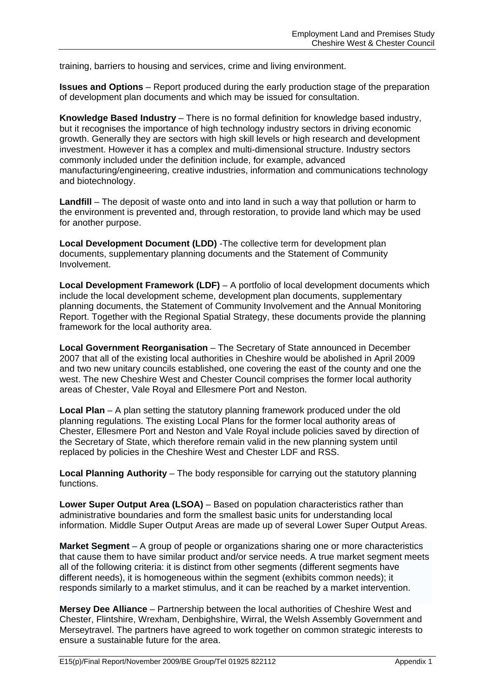training, barriers to housing and services, crime and living environment.

**Issues and Options** – Report produced during the early production stage of the preparation of development plan documents and which may be issued for consultation.

**Knowledge Based Industry** – There is no formal definition for knowledge based industry, but it recognises the importance of high technology industry sectors in driving economic growth. Generally they are sectors with high skill levels or high research and development investment. However it has a complex and multi-dimensional structure. Industry sectors commonly included under the definition include, for example, advanced manufacturing/engineering, creative industries, information and communications technology and biotechnology.

**Landfill** – The deposit of waste onto and into land in such a way that pollution or harm to the environment is prevented and, through restoration, to provide land which may be used for another purpose.

**Local Development Document (LDD)** -The collective term for development plan documents, supplementary planning documents and the Statement of Community Involvement.

**Local Development Framework (LDF)** – A portfolio of local development documents which include the local development scheme, development plan documents, supplementary planning documents, the Statement of Community Involvement and the Annual Monitoring Report. Together with the Regional Spatial Strategy, these documents provide the planning framework for the local authority area.

**Local Government Reorganisation** – The Secretary of State announced in December 2007 that all of the existing local authorities in Cheshire would be abolished in April 2009 and two new unitary councils established, one covering the east of the county and one the west. The new Cheshire West and Chester Council comprises the former local authority areas of Chester, Vale Royal and Ellesmere Port and Neston.

**Local Plan** – A plan setting the statutory planning framework produced under the old planning regulations. The existing Local Plans for the former local authority areas of Chester, Ellesmere Port and Neston and Vale Royal include policies saved by direction of the Secretary of State, which therefore remain valid in the new planning system until replaced by policies in the Cheshire West and Chester LDF and RSS.

**Local Planning Authority** – The body responsible for carrying out the statutory planning functions.

**Lower Super Output Area (LSOA)** – Based on population characteristics rather than administrative boundaries and form the smallest basic units for understanding local information. Middle Super Output Areas are made up of several Lower Super Output Areas.

**Market Segment** – A group of people or organizations sharing one or more characteristics that cause them to have similar product and/or service needs. A true market segment meets all of the following criteria: it is distinct from other segments (different segments have different needs), it is homogeneous within the segment (exhibits common needs); it responds similarly to a market stimulus, and it can be reached by a market intervention.

**Mersey Dee Alliance** – Partnership between the local authorities of Cheshire West and Chester, Flintshire, Wrexham, Denbighshire, Wirral, the Welsh Assembly Government and Merseytravel. The partners have agreed to work together on common strategic interests to ensure a sustainable future for the area.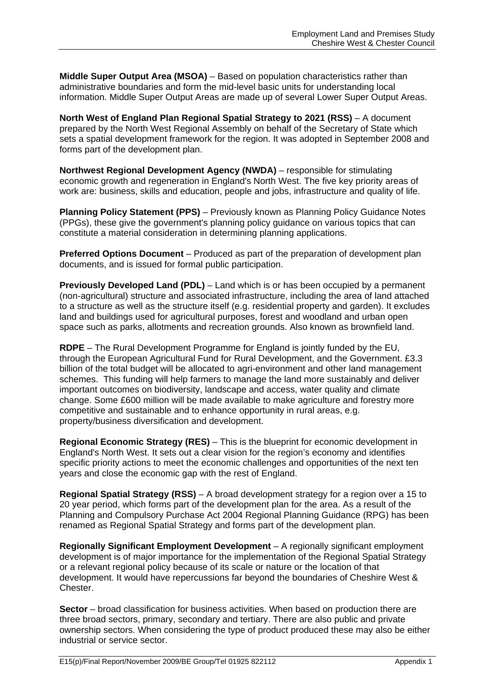**Middle Super Output Area (MSOA)** – Based on population characteristics rather than administrative boundaries and form the mid-level basic units for understanding local information. Middle Super Output Areas are made up of several Lower Super Output Areas.

**North West of England Plan Regional Spatial Strategy to 2021 (RSS) – A document** prepared by the North West Regional Assembly on behalf of the Secretary of State which sets a spatial development framework for the region. It was adopted in September 2008 and forms part of the development plan.

**Northwest Regional Development Agency (NWDA)** – responsible for stimulating economic growth and regeneration in England's North West. The five key priority areas of work are: business, skills and education, people and jobs, infrastructure and quality of life.

**Planning Policy Statement (PPS)** – Previously known as Planning Policy Guidance Notes (PPGs), these give the government's planning policy guidance on various topics that can constitute a material consideration in determining planning applications.

**Preferred Options Document** – Produced as part of the preparation of development plan documents, and is issued for formal public participation.

**Previously Developed Land (PDL)** – Land which is or has been occupied by a permanent (non-agricultural) structure and associated infrastructure, including the area of land attached to a structure as well as the structure itself (e.g. residential property and garden). It excludes land and buildings used for agricultural purposes, forest and woodland and urban open space such as parks, allotments and recreation grounds. Also known as brownfield land.

**RDPE** – The Rural Development Programme for England is jointly funded by the EU, through the European Agricultural Fund for Rural Development, and the Government. £3.3 billion of the total budget will be allocated to agri-environment and other land management schemes. This funding will help farmers to manage the land more sustainably and deliver important outcomes on biodiversity, landscape and access, water quality and climate change. Some £600 million will be made available to make agriculture and forestry more competitive and sustainable and to enhance opportunity in rural areas, e.g. property/business diversification and development.

**Regional Economic Strategy (RES)** – This is the blueprint for economic development in England's North West. It sets out a clear vision for the region's economy and identifies specific priority actions to meet the economic challenges and opportunities of the next ten years and close the economic gap with the rest of England.

**Regional Spatial Strategy (RSS)** – A broad development strategy for a region over a 15 to 20 year period, which forms part of the development plan for the area. As a result of the Planning and Compulsory Purchase Act 2004 Regional Planning Guidance (RPG) has been renamed as Regional Spatial Strategy and forms part of the development plan.

**Regionally Significant Employment Development** – A regionally significant employment development is of major importance for the implementation of the Regional Spatial Strategy or a relevant regional policy because of its scale or nature or the location of that development. It would have repercussions far beyond the boundaries of Cheshire West & Chester.

**Sector** – broad classification for business activities. When based on production there are three broad sectors, primary, secondary and tertiary. There are also public and private ownership sectors. When considering the type of product produced these may also be either industrial or service sector.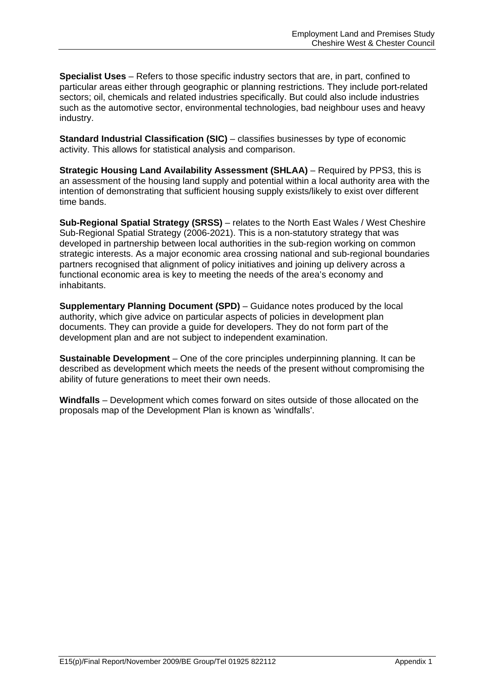**Specialist Uses** – Refers to those specific industry sectors that are, in part, confined to particular areas either through geographic or planning restrictions. They include port-related sectors: oil, chemicals and related industries specifically. But could also include industries such as the automotive sector, environmental technologies, bad neighbour uses and heavy industry.

**Standard Industrial Classification (SIC)** – classifies businesses by type of economic activity. This allows for statistical analysis and comparison.

**Strategic Housing Land Availability Assessment (SHLAA) – Required by PPS3, this is** an assessment of the housing land supply and potential within a local authority area with the intention of demonstrating that sufficient housing supply exists/likely to exist over different time bands.

**Sub-Regional Spatial Strategy (SRSS)** – relates to the North East Wales / West Cheshire Sub-Regional Spatial Strategy (2006-2021). This is a non-statutory strategy that was developed in partnership between local authorities in the sub-region working on common strategic interests. As a major economic area crossing national and sub-regional boundaries partners recognised that alignment of policy initiatives and joining up delivery across a functional economic area is key to meeting the needs of the area's economy and inhabitants.

**Supplementary Planning Document (SPD)** – Guidance notes produced by the local authority, which give advice on particular aspects of policies in development plan documents. They can provide a guide for developers. They do not form part of the development plan and are not subject to independent examination.

**Sustainable Development** – One of the core principles underpinning planning. It can be described as development which meets the needs of the present without compromising the ability of future generations to meet their own needs.

**Windfalls** – Development which comes forward on sites outside of those allocated on the proposals map of the Development Plan is known as 'windfalls'.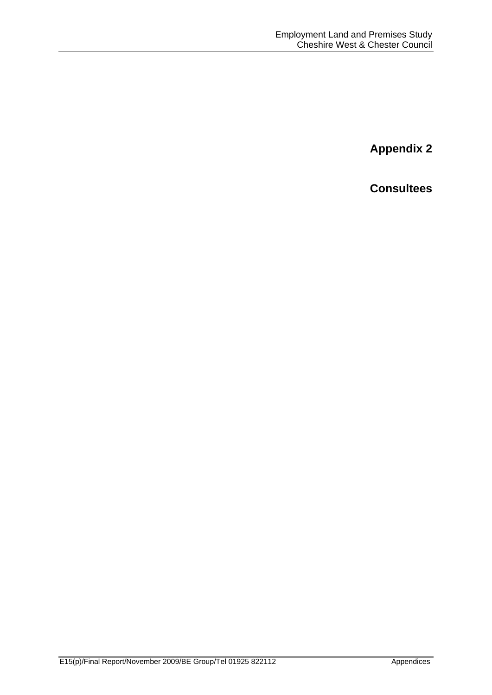**Consultees**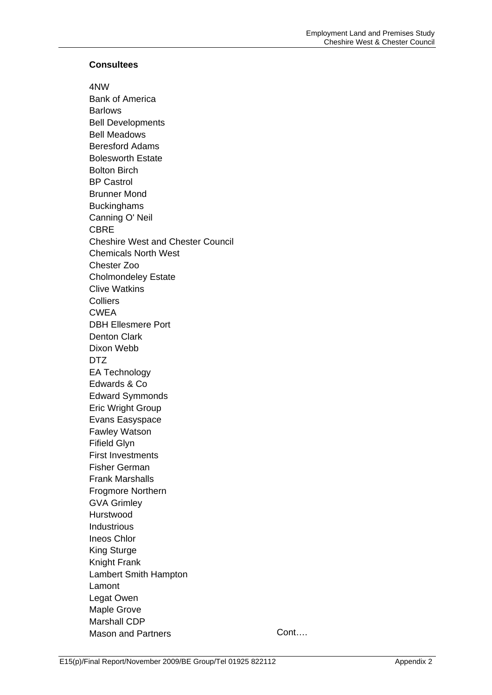### **Consultees**

4NW Bank of America Barlows Bell Developments Bell Meadows Beresford Adams Bolesworth Estate Bolton Birch BP Castrol Brunner Mond Buckinghams Canning O' Neil **CBRE** Cheshire West and Chester Council Chemicals North West Chester Zoo Cholmondeley Estate Clive Watkins **Colliers** CWEA DBH Ellesmere Port Denton Clark Dixon Webb DTZ EA Technology Edwards & Co Edward Symmonds Eric Wright Group Evans Easyspace Fawley Watson Fifield Glyn First Investments Fisher German Frank Marshalls Frogmore Northern GVA Grimley Hurstwood Industrious Ineos Chlor King Sturge Knight Frank Lambert Smith Hampton Lamont Legat Owen Maple Grove Marshall CDP Mason and Partners Cont….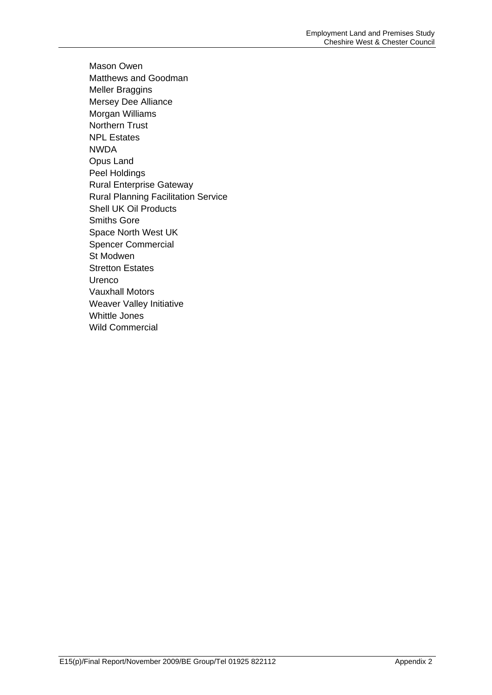Mason Owen Matthews and Goodman Meller Braggins Mersey Dee Alliance Morgan Williams Northern Trust NPL Estates NWDA Opus Land Peel Holdings Rural Enterprise Gateway Rural Planning Facilitation Service Shell UK Oil Products Smiths Gore Space North West UK Spencer Commercial St Modwen Stretton Estates Urenco Vauxhall Motors Weaver Valley Initiative Whittle Jones Wild Commercial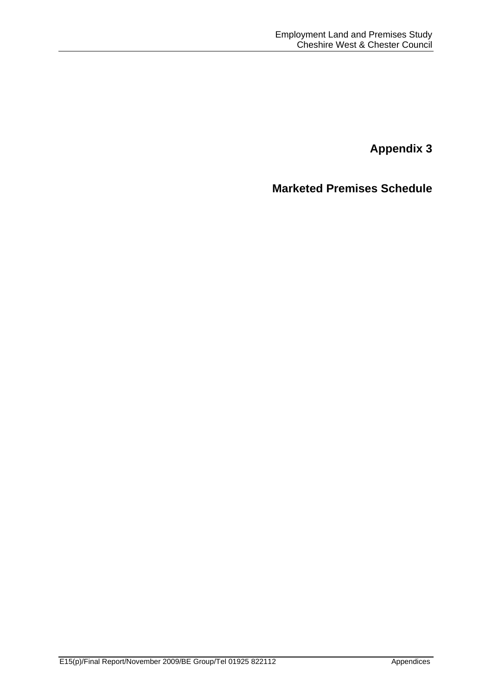**Marketed Premises Schedule**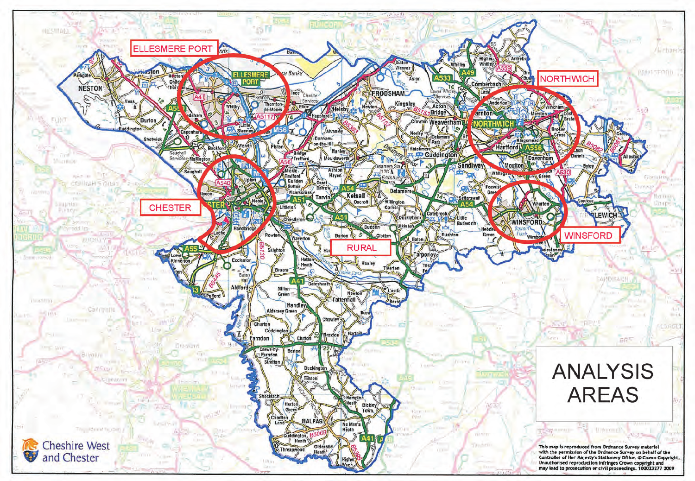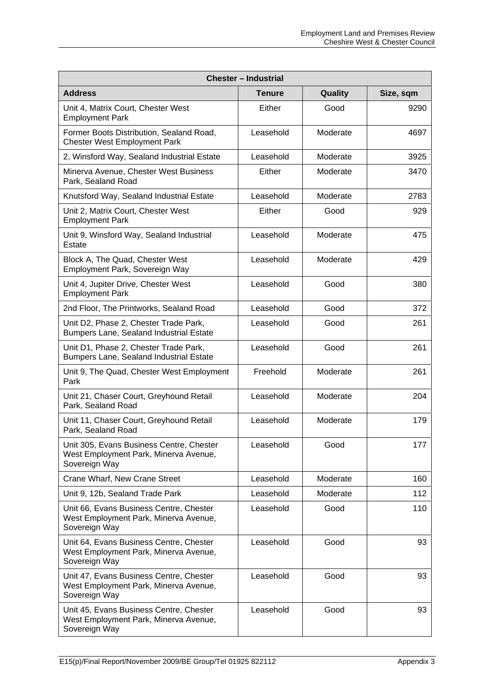| <b>Chester - Industrial</b>                                                                        |               |          |           |
|----------------------------------------------------------------------------------------------------|---------------|----------|-----------|
| <b>Address</b>                                                                                     | <b>Tenure</b> | Quality  | Size, sqm |
| Unit 4, Matrix Court, Chester West<br><b>Employment Park</b>                                       | Either        | Good     | 9290      |
| Former Boots Distribution, Sealand Road,<br><b>Chester West Employment Park</b>                    | Leasehold     | Moderate | 4697      |
| 2, Winsford Way, Sealand Industrial Estate                                                         | Leasehold     | Moderate | 3925      |
| Minerva Avenue, Chester West Business<br>Park, Sealand Road                                        | Either        | Moderate | 3470      |
| Knutsford Way, Sealand Industrial Estate                                                           | Leasehold     | Moderate | 2783      |
| Unit 2, Matrix Court, Chester West<br><b>Employment Park</b>                                       | Either        | Good     | 929       |
| Unit 9, Winsford Way, Sealand Industrial<br>Estate                                                 | Leasehold     | Moderate | 475       |
| Block A, The Quad, Chester West<br>Employment Park, Sovereign Way                                  | Leasehold     | Moderate | 429       |
| Unit 4, Jupiter Drive, Chester West<br><b>Employment Park</b>                                      | Leasehold     | Good     | 380       |
| 2nd Floor, The Printworks, Sealand Road                                                            | Leasehold     | Good     | 372       |
| Unit D2, Phase 2, Chester Trade Park,<br>Bumpers Lane, Sealand Industrial Estate                   | Leasehold     | Good     | 261       |
| Unit D1, Phase 2, Chester Trade Park,<br>Bumpers Lane, Sealand Industrial Estate                   | Leasehold     | Good     | 261       |
| Unit 9, The Quad, Chester West Employment<br>Park                                                  | Freehold      | Moderate | 261       |
| Unit 21, Chaser Court, Greyhound Retail<br>Park, Sealand Road                                      | Leasehold     | Moderate | 204       |
| Unit 11, Chaser Court, Greyhound Retail<br>Park, Sealand Road                                      | Leasehold     | Moderate | 179       |
| Unit 305, Evans Business Centre, Chester<br>West Employment Park, Minerva Avenue,<br>Sovereign Way | Leasehold     | Good     | 177       |
| Crane Wharf, New Crane Street                                                                      | Leasehold     | Moderate | 160       |
| Unit 9, 12b, Sealand Trade Park                                                                    | Leasehold     | Moderate | 112       |
| Unit 66, Evans Business Centre, Chester<br>West Employment Park, Minerva Avenue,<br>Sovereign Way  | Leasehold     | Good     | 110       |
| Unit 64, Evans Business Centre, Chester<br>West Employment Park, Minerva Avenue,<br>Sovereign Way  | Leasehold     | Good     | 93        |
| Unit 47, Evans Business Centre, Chester<br>West Employment Park, Minerva Avenue,<br>Sovereign Way  | Leasehold     | Good     | 93        |
| Unit 45, Evans Business Centre, Chester<br>West Employment Park, Minerva Avenue,<br>Sovereign Way  | Leasehold     | Good     | 93        |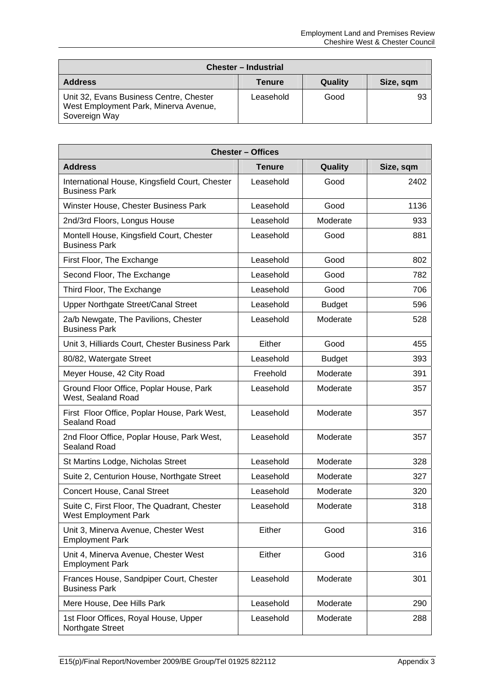| <b>Chester - Industrial</b>                                                                       |               |         |           |
|---------------------------------------------------------------------------------------------------|---------------|---------|-----------|
| <b>Address</b>                                                                                    | <b>Tenure</b> | Quality | Size, sqm |
| Unit 32, Evans Business Centre, Chester<br>West Employment Park, Minerva Avenue,<br>Sovereign Way | Leasehold     | Good    | 93        |

| <b>Chester - Offices</b>                                               |               |               |           |
|------------------------------------------------------------------------|---------------|---------------|-----------|
| <b>Address</b>                                                         | <b>Tenure</b> | Quality       | Size, sqm |
| International House, Kingsfield Court, Chester<br><b>Business Park</b> | Leasehold     | Good          | 2402      |
| Winster House, Chester Business Park                                   | Leasehold     | Good          | 1136      |
| 2nd/3rd Floors, Longus House                                           | Leasehold     | Moderate      | 933       |
| Montell House, Kingsfield Court, Chester<br><b>Business Park</b>       | Leasehold     | Good          | 881       |
| First Floor, The Exchange                                              | Leasehold     | Good          | 802       |
| Second Floor, The Exchange                                             | Leasehold     | Good          | 782       |
| Third Floor, The Exchange                                              | Leasehold     | Good          | 706       |
| <b>Upper Northgate Street/Canal Street</b>                             | Leasehold     | <b>Budget</b> | 596       |
| 2a/b Newgate, The Pavilions, Chester<br><b>Business Park</b>           | Leasehold     | Moderate      | 528       |
| Unit 3, Hilliards Court, Chester Business Park                         | Either        | Good          | 455       |
| 80/82, Watergate Street                                                | Leasehold     | <b>Budget</b> | 393       |
| Meyer House, 42 City Road                                              | Freehold      | Moderate      | 391       |
| Ground Floor Office, Poplar House, Park<br>West, Sealand Road          | Leasehold     | Moderate      | 357       |
| First Floor Office, Poplar House, Park West,<br>Sealand Road           | Leasehold     | Moderate      | 357       |
| 2nd Floor Office, Poplar House, Park West,<br>Sealand Road             | Leasehold     | Moderate      | 357       |
| St Martins Lodge, Nicholas Street                                      | Leasehold     | Moderate      | 328       |
| Suite 2, Centurion House, Northgate Street                             | Leasehold     | Moderate      | 327       |
| Concert House, Canal Street                                            | Leasehold     | Moderate      | 320       |
| Suite C, First Floor, The Quadrant, Chester<br>West Employment Park    | Leasehold     | Moderate      | 318       |
| Unit 3, Minerva Avenue, Chester West<br><b>Employment Park</b>         | Either        | Good          | 316       |
| Unit 4, Minerva Avenue, Chester West<br><b>Employment Park</b>         | Either        | Good          | 316       |
| Frances House, Sandpiper Court, Chester<br><b>Business Park</b>        | Leasehold     | Moderate      | 301       |
| Mere House, Dee Hills Park                                             | Leasehold     | Moderate      | 290       |
| 1st Floor Offices, Royal House, Upper<br>Northgate Street              | Leasehold     | Moderate      | 288       |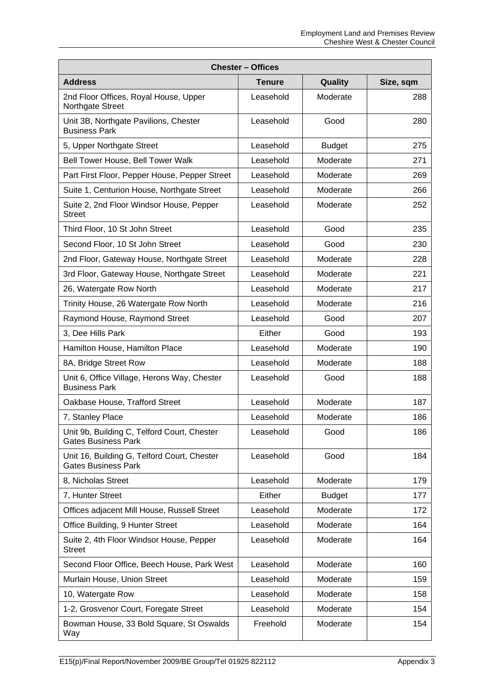| <b>Chester - Offices</b>                                                  |               |               |           |
|---------------------------------------------------------------------------|---------------|---------------|-----------|
| <b>Address</b>                                                            | <b>Tenure</b> | Quality       | Size, sqm |
| 2nd Floor Offices, Royal House, Upper<br>Northgate Street                 | Leasehold     | Moderate      | 288       |
| Unit 3B, Northgate Pavilions, Chester<br><b>Business Park</b>             | Leasehold     | Good          | 280       |
| 5, Upper Northgate Street                                                 | Leasehold     | <b>Budget</b> | 275       |
| Bell Tower House, Bell Tower Walk                                         | Leasehold     | Moderate      | 271       |
| Part First Floor, Pepper House, Pepper Street                             | Leasehold     | Moderate      | 269       |
| Suite 1, Centurion House, Northgate Street                                | Leasehold     | Moderate      | 266       |
| Suite 2, 2nd Floor Windsor House, Pepper<br>Street                        | Leasehold     | Moderate      | 252       |
| Third Floor, 10 St John Street                                            | Leasehold     | Good          | 235       |
| Second Floor, 10 St John Street                                           | Leasehold     | Good          | 230       |
| 2nd Floor, Gateway House, Northgate Street                                | Leasehold     | Moderate      | 228       |
| 3rd Floor, Gateway House, Northgate Street                                | Leasehold     | Moderate      | 221       |
| 26, Watergate Row North                                                   | Leasehold     | Moderate      | 217       |
| Trinity House, 26 Watergate Row North                                     | Leasehold     | Moderate      | 216       |
| Raymond House, Raymond Street                                             | Leasehold     | Good          | 207       |
| 3, Dee Hills Park                                                         | Either        | Good          | 193       |
| Hamilton House, Hamilton Place                                            | Leasehold     | Moderate      | 190       |
| 8A, Bridge Street Row                                                     | Leasehold     | Moderate      | 188       |
| Unit 6, Office Village, Herons Way, Chester<br><b>Business Park</b>       | Leasehold     | Good          | 188       |
| Oakbase House, Trafford Street                                            | Leasehold     | Moderate      | 187       |
| 7, Stanley Place                                                          | Leasehold     | Moderate      | 186       |
| Unit 9b, Building C, Telford Court, Chester<br><b>Gates Business Park</b> | Leasehold     | Good          | 186       |
| Unit 16, Building G, Telford Court, Chester<br><b>Gates Business Park</b> | Leasehold     | Good          | 184       |
| 8, Nicholas Street                                                        | Leasehold     | Moderate      | 179       |
| 7, Hunter Street                                                          | Either        | <b>Budget</b> | 177       |
| Offices adjacent Mill House, Russell Street                               | Leasehold     | Moderate      | 172       |
| Office Building, 9 Hunter Street                                          | Leasehold     | Moderate      | 164       |
| Suite 2, 4th Floor Windsor House, Pepper<br>Street                        | Leasehold     | Moderate      | 164       |
| Second Floor Office, Beech House, Park West                               | Leasehold     | Moderate      | 160       |
| Murlain House, Union Street                                               | Leasehold     | Moderate      | 159       |
| 10, Watergate Row                                                         | Leasehold     | Moderate      | 158       |
| 1-2, Grosvenor Court, Foregate Street                                     | Leasehold     | Moderate      | 154       |
| Bowman House, 33 Bold Square, St Oswalds<br>Way                           | Freehold      | Moderate      | 154       |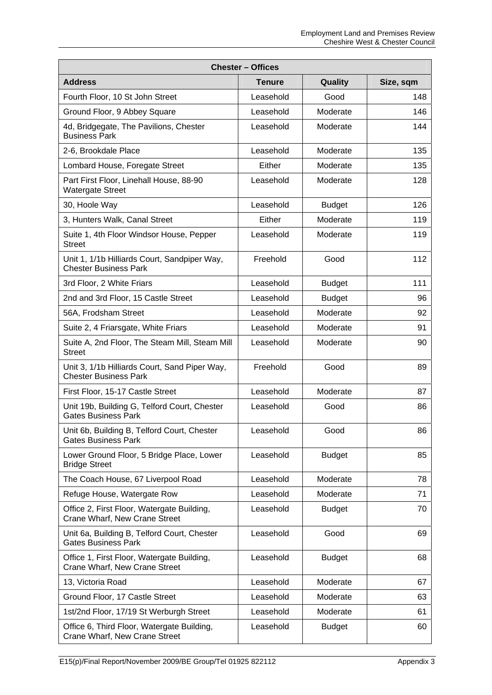| <b>Chester - Offices</b>                                                      |               |               |           |
|-------------------------------------------------------------------------------|---------------|---------------|-----------|
| <b>Address</b>                                                                | <b>Tenure</b> | Quality       | Size, sqm |
| Fourth Floor, 10 St John Street                                               | Leasehold     | Good          | 148       |
| Ground Floor, 9 Abbey Square                                                  | Leasehold     | Moderate      | 146       |
| 4d, Bridgegate, The Pavilions, Chester<br><b>Business Park</b>                | Leasehold     | Moderate      | 144       |
| 2-6, Brookdale Place                                                          | Leasehold     | Moderate      | 135       |
| Lombard House, Foregate Street                                                | Either        | Moderate      | 135       |
| Part First Floor, Linehall House, 88-90<br><b>Watergate Street</b>            | Leasehold     | Moderate      | 128       |
| 30, Hoole Way                                                                 | Leasehold     | <b>Budget</b> | 126       |
| 3, Hunters Walk, Canal Street                                                 | Either        | Moderate      | 119       |
| Suite 1, 4th Floor Windsor House, Pepper<br><b>Street</b>                     | Leasehold     | Moderate      | 119       |
| Unit 1, 1/1b Hilliards Court, Sandpiper Way,<br><b>Chester Business Park</b>  | Freehold      | Good          | 112       |
| 3rd Floor, 2 White Friars                                                     | Leasehold     | <b>Budget</b> | 111       |
| 2nd and 3rd Floor, 15 Castle Street                                           | Leasehold     | <b>Budget</b> | 96        |
| 56A, Frodsham Street                                                          | Leasehold     | Moderate      | 92        |
| Suite 2, 4 Friarsgate, White Friars                                           | Leasehold     | Moderate      | 91        |
| Suite A, 2nd Floor, The Steam Mill, Steam Mill<br><b>Street</b>               | Leasehold     | Moderate      | 90        |
| Unit 3, 1/1b Hilliards Court, Sand Piper Way,<br><b>Chester Business Park</b> | Freehold      | Good          | 89        |
| First Floor, 15-17 Castle Street                                              | Leasehold     | Moderate      | 87        |
| Unit 19b, Building G, Telford Court, Chester<br><b>Gates Business Park</b>    | Leasehold     | Good          | 86        |
| Unit 6b, Building B, Telford Court, Chester<br><b>Gates Business Park</b>     | Leasehold     | Good          | 86        |
| Lower Ground Floor, 5 Bridge Place, Lower<br><b>Bridge Street</b>             | Leasehold     | <b>Budget</b> | 85        |
| The Coach House, 67 Liverpool Road                                            | Leasehold     | Moderate      | 78        |
| Refuge House, Watergate Row                                                   | Leasehold     | Moderate      | 71        |
| Office 2, First Floor, Watergate Building,<br>Crane Wharf, New Crane Street   | Leasehold     | <b>Budget</b> | 70        |
| Unit 6a, Building B, Telford Court, Chester<br><b>Gates Business Park</b>     | Leasehold     | Good          | 69        |
| Office 1, First Floor, Watergate Building,<br>Crane Wharf, New Crane Street   | Leasehold     | <b>Budget</b> | 68        |
| 13, Victoria Road                                                             | Leasehold     | Moderate      | 67        |
| Ground Floor, 17 Castle Street                                                | Leasehold     | Moderate      | 63        |
| 1st/2nd Floor, 17/19 St Werburgh Street                                       | Leasehold     | Moderate      | 61        |
| Office 6, Third Floor, Watergate Building,<br>Crane Wharf, New Crane Street   | Leasehold     | <b>Budget</b> | 60        |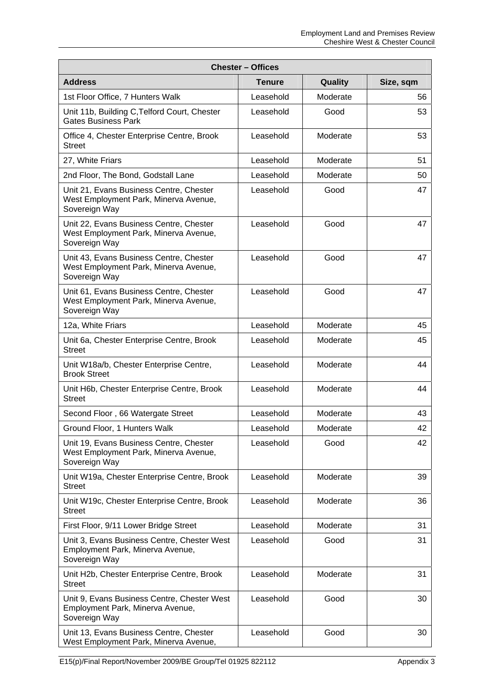| <b>Chester - Offices</b>                                                                          |               |          |           |
|---------------------------------------------------------------------------------------------------|---------------|----------|-----------|
| <b>Address</b>                                                                                    | <b>Tenure</b> | Quality  | Size, sqm |
| 1st Floor Office, 7 Hunters Walk                                                                  | Leasehold     | Moderate | 56        |
| Unit 11b, Building C, Telford Court, Chester<br><b>Gates Business Park</b>                        | Leasehold     | Good     | 53        |
| Office 4, Chester Enterprise Centre, Brook<br><b>Street</b>                                       | Leasehold     | Moderate | 53        |
| 27, White Friars                                                                                  | Leasehold     | Moderate | 51        |
| 2nd Floor, The Bond, Godstall Lane                                                                | Leasehold     | Moderate | 50        |
| Unit 21, Evans Business Centre, Chester<br>West Employment Park, Minerva Avenue,<br>Sovereign Way | Leasehold     | Good     | 47        |
| Unit 22, Evans Business Centre, Chester<br>West Employment Park, Minerva Avenue,<br>Sovereign Way | Leasehold     | Good     | 47        |
| Unit 43, Evans Business Centre, Chester<br>West Employment Park, Minerva Avenue,<br>Sovereign Way | Leasehold     | Good     | 47        |
| Unit 61, Evans Business Centre, Chester<br>West Employment Park, Minerva Avenue,<br>Sovereign Way | Leasehold     | Good     | 47        |
| 12a, White Friars                                                                                 | Leasehold     | Moderate | 45        |
| Unit 6a, Chester Enterprise Centre, Brook<br><b>Street</b>                                        | Leasehold     | Moderate | 45        |
| Unit W18a/b, Chester Enterprise Centre,<br><b>Brook Street</b>                                    | Leasehold     | Moderate | 44        |
| Unit H6b, Chester Enterprise Centre, Brook<br><b>Street</b>                                       | Leasehold     | Moderate | 44        |
| Second Floor, 66 Watergate Street                                                                 | Leasehold     | Moderate | 43        |
| Ground Floor, 1 Hunters Walk                                                                      | Leasehold     | Moderate | 42        |
| Unit 19, Evans Business Centre, Chester<br>West Employment Park, Minerva Avenue,<br>Sovereign Way | Leasehold     | Good     | 42        |
| Unit W19a, Chester Enterprise Centre, Brook<br>Street                                             | Leasehold     | Moderate | 39        |
| Unit W19c, Chester Enterprise Centre, Brook<br><b>Street</b>                                      | Leasehold     | Moderate | 36        |
| First Floor, 9/11 Lower Bridge Street                                                             | Leasehold     | Moderate | 31        |
| Unit 3, Evans Business Centre, Chester West<br>Employment Park, Minerva Avenue,<br>Sovereign Way  | Leasehold     | Good     | 31        |
| Unit H2b, Chester Enterprise Centre, Brook<br><b>Street</b>                                       | Leasehold     | Moderate | 31        |
| Unit 9, Evans Business Centre, Chester West<br>Employment Park, Minerva Avenue,<br>Sovereign Way  | Leasehold     | Good     | 30        |
| Unit 13, Evans Business Centre, Chester<br>West Employment Park, Minerva Avenue,                  | Leasehold     | Good     | 30        |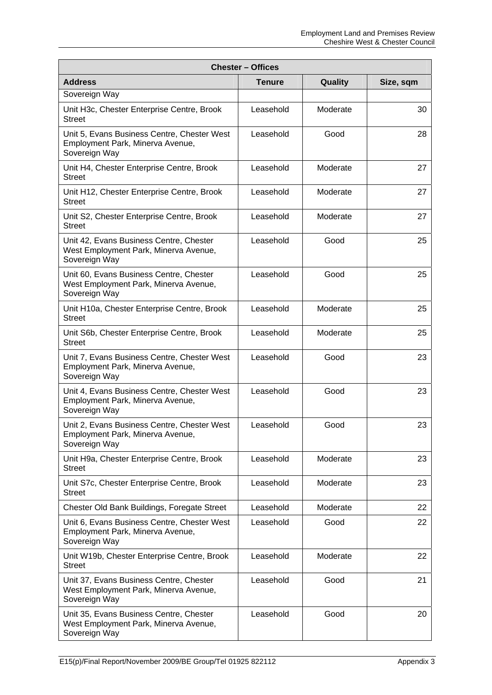| <b>Chester - Offices</b>                                                                          |               |          |           |
|---------------------------------------------------------------------------------------------------|---------------|----------|-----------|
| <b>Address</b>                                                                                    | <b>Tenure</b> | Quality  | Size, sqm |
| Sovereign Way                                                                                     |               |          |           |
| Unit H3c, Chester Enterprise Centre, Brook<br><b>Street</b>                                       | Leasehold     | Moderate | 30        |
| Unit 5, Evans Business Centre, Chester West<br>Employment Park, Minerva Avenue,<br>Sovereign Way  | Leasehold     | Good     | 28        |
| Unit H4, Chester Enterprise Centre, Brook<br>Street                                               | Leasehold     | Moderate | 27        |
| Unit H12, Chester Enterprise Centre, Brook<br>Street                                              | Leasehold     | Moderate | 27        |
| Unit S2, Chester Enterprise Centre, Brook<br>Street                                               | Leasehold     | Moderate | 27        |
| Unit 42, Evans Business Centre, Chester<br>West Employment Park, Minerva Avenue,<br>Sovereign Way | Leasehold     | Good     | 25        |
| Unit 60, Evans Business Centre, Chester<br>West Employment Park, Minerva Avenue,<br>Sovereign Way | Leasehold     | Good     | 25        |
| Unit H10a, Chester Enterprise Centre, Brook<br><b>Street</b>                                      | Leasehold     | Moderate | 25        |
| Unit S6b, Chester Enterprise Centre, Brook<br>Street                                              | Leasehold     | Moderate | 25        |
| Unit 7, Evans Business Centre, Chester West<br>Employment Park, Minerva Avenue,<br>Sovereign Way  | Leasehold     | Good     | 23        |
| Unit 4, Evans Business Centre, Chester West<br>Employment Park, Minerva Avenue,<br>Sovereign Way  | Leasehold     | Good     | 23        |
| Unit 2, Evans Business Centre, Chester West<br>Employment Park, Minerva Avenue,<br>Sovereign Way  | Leasehold     | Good     | 23        |
| Unit H9a, Chester Enterprise Centre, Brook<br>Street                                              | Leasehold     | Moderate | 23        |
| Unit S7c, Chester Enterprise Centre, Brook<br><b>Street</b>                                       | Leasehold     | Moderate | 23        |
| Chester Old Bank Buildings, Foregate Street                                                       | Leasehold     | Moderate | 22        |
| Unit 6, Evans Business Centre, Chester West<br>Employment Park, Minerva Avenue,<br>Sovereign Way  | Leasehold     | Good     | 22        |
| Unit W19b, Chester Enterprise Centre, Brook<br>Street                                             | Leasehold     | Moderate | 22        |
| Unit 37, Evans Business Centre, Chester<br>West Employment Park, Minerva Avenue,<br>Sovereign Way | Leasehold     | Good     | 21        |
| Unit 35, Evans Business Centre, Chester<br>West Employment Park, Minerva Avenue,<br>Sovereign Way | Leasehold     | Good     | 20        |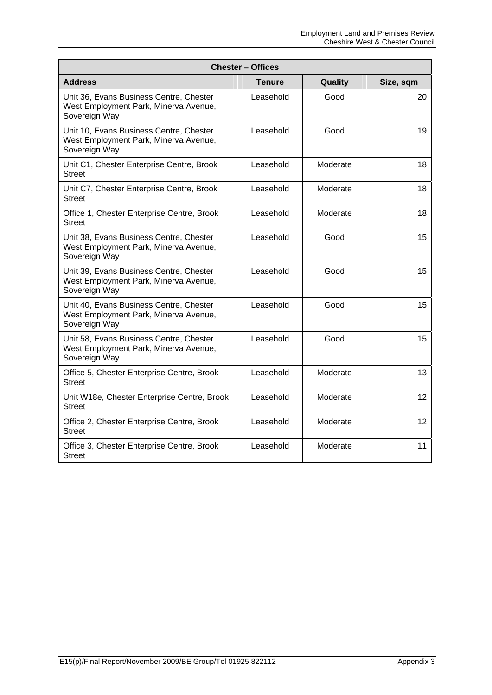| <b>Chester - Offices</b>                                                                          |           |          |           |
|---------------------------------------------------------------------------------------------------|-----------|----------|-----------|
| <b>Address</b>                                                                                    | Tenure    | Quality  | Size, sqm |
| Unit 36, Evans Business Centre, Chester<br>West Employment Park, Minerva Avenue,<br>Sovereign Way | Leasehold | Good     | 20        |
| Unit 10, Evans Business Centre, Chester<br>West Employment Park, Minerva Avenue,<br>Sovereign Way | Leasehold | Good     | 19        |
| Unit C1, Chester Enterprise Centre, Brook<br>Street                                               | Leasehold | Moderate | 18        |
| Unit C7, Chester Enterprise Centre, Brook<br>Street                                               | Leasehold | Moderate | 18        |
| Office 1, Chester Enterprise Centre, Brook<br><b>Street</b>                                       | Leasehold | Moderate | 18        |
| Unit 38, Evans Business Centre, Chester<br>West Employment Park, Minerva Avenue,<br>Sovereign Way | Leasehold | Good     | 15        |
| Unit 39, Evans Business Centre, Chester<br>West Employment Park, Minerva Avenue,<br>Sovereign Way | Leasehold | Good     | 15        |
| Unit 40, Evans Business Centre, Chester<br>West Employment Park, Minerva Avenue,<br>Sovereign Way | Leasehold | Good     | 15        |
| Unit 58, Evans Business Centre, Chester<br>West Employment Park, Minerva Avenue,<br>Sovereign Way | Leasehold | Good     | 15        |
| Office 5, Chester Enterprise Centre, Brook<br><b>Street</b>                                       | Leasehold | Moderate | 13        |
| Unit W18e, Chester Enterprise Centre, Brook<br><b>Street</b>                                      | Leasehold | Moderate | 12        |
| Office 2, Chester Enterprise Centre, Brook<br>Street                                              | Leasehold | Moderate | 12        |
| Office 3, Chester Enterprise Centre, Brook<br><b>Street</b>                                       | Leasehold | Moderate | 11        |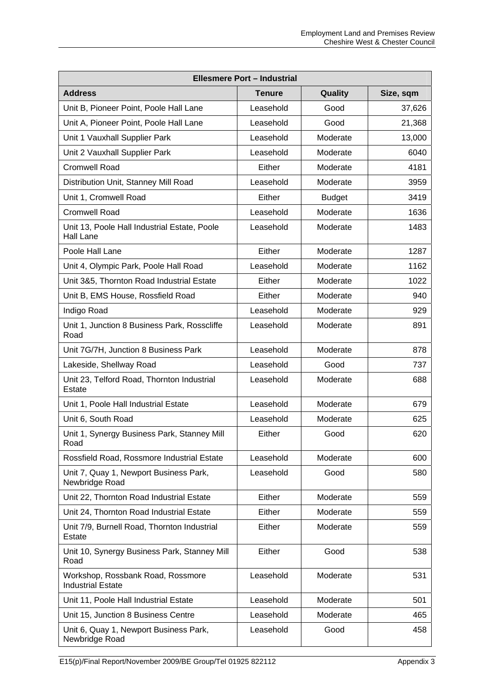| <b>Ellesmere Port - Industrial</b>                            |               |               |           |
|---------------------------------------------------------------|---------------|---------------|-----------|
| <b>Address</b>                                                | <b>Tenure</b> | Quality       | Size, sqm |
| Unit B, Pioneer Point, Poole Hall Lane                        | Leasehold     | Good          | 37,626    |
| Unit A, Pioneer Point, Poole Hall Lane                        | Leasehold     | Good          | 21,368    |
| Unit 1 Vauxhall Supplier Park                                 | Leasehold     | Moderate      | 13,000    |
| Unit 2 Vauxhall Supplier Park                                 | Leasehold     | Moderate      | 6040      |
| <b>Cromwell Road</b>                                          | Either        | Moderate      | 4181      |
| Distribution Unit, Stanney Mill Road                          | Leasehold     | Moderate      | 3959      |
| Unit 1, Cromwell Road                                         | Either        | <b>Budget</b> | 3419      |
| <b>Cromwell Road</b>                                          | Leasehold     | Moderate      | 1636      |
| Unit 13, Poole Hall Industrial Estate, Poole<br>Hall Lane     | Leasehold     | Moderate      | 1483      |
| Poole Hall Lane                                               | Either        | Moderate      | 1287      |
| Unit 4, Olympic Park, Poole Hall Road                         | Leasehold     | Moderate      | 1162      |
| Unit 3&5, Thornton Road Industrial Estate                     | Either        | Moderate      | 1022      |
| Unit B, EMS House, Rossfield Road                             | Either        | Moderate      | 940       |
| Indigo Road                                                   | Leasehold     | Moderate      | 929       |
| Unit 1, Junction 8 Business Park, Rosscliffe<br>Road          | Leasehold     | Moderate      | 891       |
| Unit 7G/7H, Junction 8 Business Park                          | Leasehold     | Moderate      | 878       |
| Lakeside, Shellway Road                                       | Leasehold     | Good          | 737       |
| Unit 23, Telford Road, Thornton Industrial<br><b>Estate</b>   | Leasehold     | Moderate      | 688       |
| Unit 1, Poole Hall Industrial Estate                          | Leasehold     | Moderate      | 679       |
| Unit 6, South Road                                            | Leasehold     | Moderate      | 625       |
| Unit 1, Synergy Business Park, Stanney Mill<br>Road           | Either        | Good          | 620       |
| Rossfield Road, Rossmore Industrial Estate                    | Leasehold     | Moderate      | 600       |
| Unit 7, Quay 1, Newport Business Park,<br>Newbridge Road      | Leasehold     | Good          | 580       |
| Unit 22, Thornton Road Industrial Estate                      | Either        | Moderate      | 559       |
| Unit 24, Thornton Road Industrial Estate                      | Either        | Moderate      | 559       |
| Unit 7/9, Burnell Road, Thornton Industrial<br>Estate         | Either        | Moderate      | 559       |
| Unit 10, Synergy Business Park, Stanney Mill<br>Road          | Either        | Good          | 538       |
| Workshop, Rossbank Road, Rossmore<br><b>Industrial Estate</b> | Leasehold     | Moderate      | 531       |
| Unit 11, Poole Hall Industrial Estate                         | Leasehold     | Moderate      | 501       |
| Unit 15, Junction 8 Business Centre                           | Leasehold     | Moderate      | 465       |
| Unit 6, Quay 1, Newport Business Park,<br>Newbridge Road      | Leasehold     | Good          | 458       |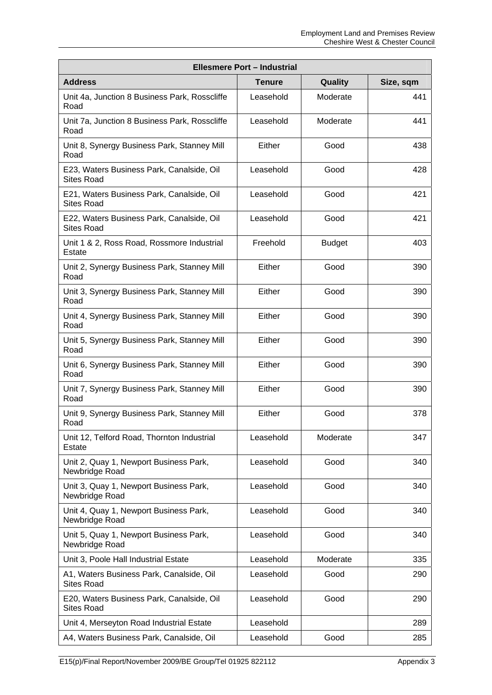| <b>Ellesmere Port - Industrial</b>                             |               |               |           |
|----------------------------------------------------------------|---------------|---------------|-----------|
| <b>Address</b>                                                 | <b>Tenure</b> | Quality       | Size, sqm |
| Unit 4a, Junction 8 Business Park, Rosscliffe<br>Road          | Leasehold     | Moderate      | 441       |
| Unit 7a, Junction 8 Business Park, Rosscliffe<br>Road          | Leasehold     | Moderate      | 441       |
| Unit 8, Synergy Business Park, Stanney Mill<br>Road            | Either        | Good          | 438       |
| E23, Waters Business Park, Canalside, Oil<br><b>Sites Road</b> | Leasehold     | Good          | 428       |
| E21, Waters Business Park, Canalside, Oil<br><b>Sites Road</b> | Leasehold     | Good          | 421       |
| E22, Waters Business Park, Canalside, Oil<br><b>Sites Road</b> | Leasehold     | Good          | 421       |
| Unit 1 & 2, Ross Road, Rossmore Industrial<br>Estate           | Freehold      | <b>Budget</b> | 403       |
| Unit 2, Synergy Business Park, Stanney Mill<br>Road            | Either        | Good          | 390       |
| Unit 3, Synergy Business Park, Stanney Mill<br>Road            | Either        | Good          | 390       |
| Unit 4, Synergy Business Park, Stanney Mill<br>Road            | Either        | Good          | 390       |
| Unit 5, Synergy Business Park, Stanney Mill<br>Road            | Either        | Good          | 390       |
| Unit 6, Synergy Business Park, Stanney Mill<br>Road            | Either        | Good          | 390       |
| Unit 7, Synergy Business Park, Stanney Mill<br>Road            | Either        | Good          | 390       |
| Unit 9, Synergy Business Park, Stanney Mill<br>Road            | Either        | Good          | 378       |
| Unit 12, Telford Road, Thornton Industrial<br><b>Estate</b>    | Leasehold     | Moderate      | 347       |
| Unit 2, Quay 1, Newport Business Park,<br>Newbridge Road       | Leasehold     | Good          | 340       |
| Unit 3, Quay 1, Newport Business Park,<br>Newbridge Road       | Leasehold     | Good          | 340       |
| Unit 4, Quay 1, Newport Business Park,<br>Newbridge Road       | Leasehold     | Good          | 340       |
| Unit 5, Quay 1, Newport Business Park,<br>Newbridge Road       | Leasehold     | Good          | 340       |
| Unit 3, Poole Hall Industrial Estate                           | Leasehold     | Moderate      | 335       |
| A1, Waters Business Park, Canalside, Oil<br><b>Sites Road</b>  | Leasehold     | Good          | 290       |
| E20, Waters Business Park, Canalside, Oil<br><b>Sites Road</b> | Leasehold     | Good          | 290       |
| Unit 4, Merseyton Road Industrial Estate                       | Leasehold     |               | 289       |
| A4, Waters Business Park, Canalside, Oil                       | Leasehold     | Good          | 285       |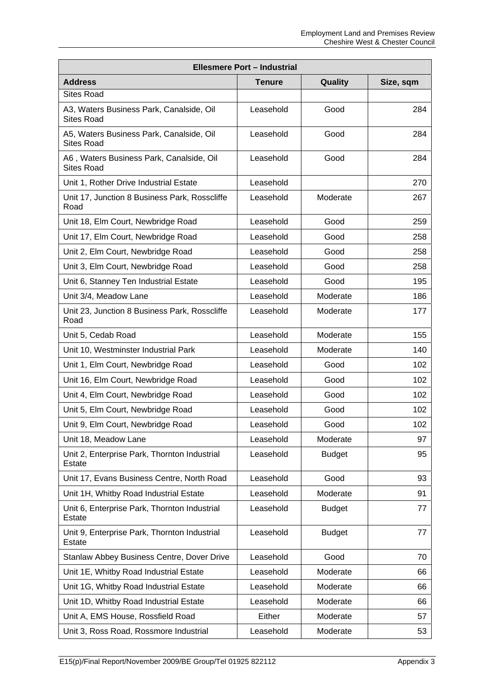| <b>Ellesmere Port - Industrial</b>                            |               |               |           |
|---------------------------------------------------------------|---------------|---------------|-----------|
| <b>Address</b>                                                | <b>Tenure</b> | Quality       | Size, sqm |
| <b>Sites Road</b>                                             |               |               |           |
| A3, Waters Business Park, Canalside, Oil<br><b>Sites Road</b> | Leasehold     | Good          | 284       |
| A5, Waters Business Park, Canalside, Oil<br><b>Sites Road</b> | Leasehold     | Good          | 284       |
| A6, Waters Business Park, Canalside, Oil<br>Sites Road        | Leasehold     | Good          | 284       |
| Unit 1, Rother Drive Industrial Estate                        | Leasehold     |               | 270       |
| Unit 17, Junction 8 Business Park, Rosscliffe<br>Road         | Leasehold     | Moderate      | 267       |
| Unit 18, Elm Court, Newbridge Road                            | Leasehold     | Good          | 259       |
| Unit 17, Elm Court, Newbridge Road                            | Leasehold     | Good          | 258       |
| Unit 2, Elm Court, Newbridge Road                             | Leasehold     | Good          | 258       |
| Unit 3, Elm Court, Newbridge Road                             | Leasehold     | Good          | 258       |
| Unit 6, Stanney Ten Industrial Estate                         | Leasehold     | Good          | 195       |
| Unit 3/4, Meadow Lane                                         | Leasehold     | Moderate      | 186       |
| Unit 23, Junction 8 Business Park, Rosscliffe<br>Road         | Leasehold     | Moderate      | 177       |
| Unit 5, Cedab Road                                            | Leasehold     | Moderate      | 155       |
| Unit 10, Westminster Industrial Park                          | Leasehold     | Moderate      | 140       |
| Unit 1, Elm Court, Newbridge Road                             | Leasehold     | Good          | 102       |
| Unit 16, Elm Court, Newbridge Road                            | Leasehold     | Good          | 102       |
| Unit 4, Elm Court, Newbridge Road                             | Leasehold     | Good          | 102       |
| Unit 5, Elm Court, Newbridge Road                             | Leasehold     | Good          | 102       |
| Unit 9, Elm Court, Newbridge Road                             | Leasehold     | Good          | 102       |
| Unit 18, Meadow Lane                                          | Leasehold     | Moderate      | 97        |
| Unit 2, Enterprise Park, Thornton Industrial<br>Estate        | Leasehold     | <b>Budget</b> | 95        |
| Unit 17, Evans Business Centre, North Road                    | Leasehold     | Good          | 93        |
| Unit 1H, Whitby Road Industrial Estate                        | Leasehold     | Moderate      | 91        |
| Unit 6, Enterprise Park, Thornton Industrial<br>Estate        | Leasehold     | <b>Budget</b> | 77        |
| Unit 9, Enterprise Park, Thornton Industrial<br>Estate        | Leasehold     | <b>Budget</b> | 77        |
| Stanlaw Abbey Business Centre, Dover Drive                    | Leasehold     | Good          | 70        |
| Unit 1E, Whitby Road Industrial Estate                        | Leasehold     | Moderate      | 66        |
| Unit 1G, Whitby Road Industrial Estate                        | Leasehold     | Moderate      | 66        |
| Unit 1D, Whitby Road Industrial Estate                        | Leasehold     | Moderate      | 66        |
| Unit A, EMS House, Rossfield Road                             | Either        | Moderate      | 57        |
| Unit 3, Ross Road, Rossmore Industrial                        | Leasehold     | Moderate      | 53        |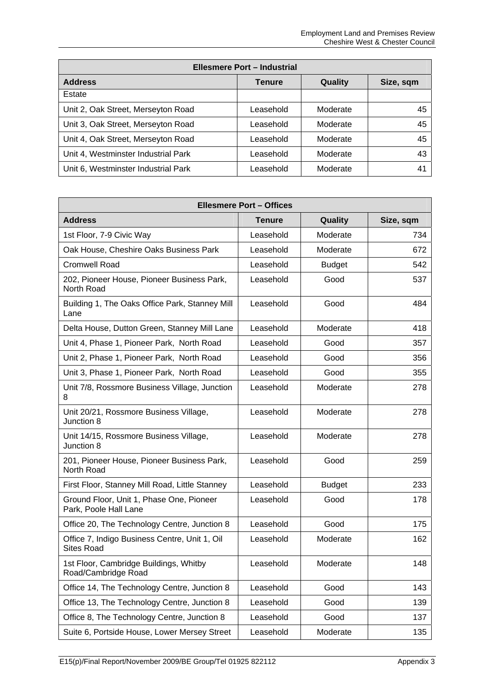| <b>Ellesmere Port - Industrial</b>  |               |          |           |
|-------------------------------------|---------------|----------|-----------|
| <b>Address</b>                      | <b>Tenure</b> | Quality  | Size, sqm |
| Estate                              |               |          |           |
| Unit 2, Oak Street, Merseyton Road  | Leasehold     | Moderate | 45        |
| Unit 3, Oak Street, Merseyton Road  | Leasehold     | Moderate | 45        |
| Unit 4, Oak Street, Merseyton Road  | Leasehold     | Moderate | 45        |
| Unit 4, Westminster Industrial Park | Leasehold     | Moderate | 43        |
| Unit 6, Westminster Industrial Park | Leasehold     | Moderate | 41        |

| <b>Ellesmere Port - Offices</b>                                    |               |               |           |
|--------------------------------------------------------------------|---------------|---------------|-----------|
| <b>Address</b>                                                     | <b>Tenure</b> | Quality       | Size, sqm |
| 1st Floor, 7-9 Civic Way                                           | Leasehold     | Moderate      | 734       |
| Oak House, Cheshire Oaks Business Park                             | Leasehold     | Moderate      | 672       |
| <b>Cromwell Road</b>                                               | Leasehold     | <b>Budget</b> | 542       |
| 202, Pioneer House, Pioneer Business Park,<br>North Road           | Leasehold     | Good          | 537       |
| Building 1, The Oaks Office Park, Stanney Mill<br>Lane             | Leasehold     | Good          | 484       |
| Delta House, Dutton Green, Stanney Mill Lane                       | Leasehold     | Moderate      | 418       |
| Unit 4, Phase 1, Pioneer Park, North Road                          | Leasehold     | Good          | 357       |
| Unit 2, Phase 1, Pioneer Park, North Road                          | Leasehold     | Good          | 356       |
| Unit 3, Phase 1, Pioneer Park, North Road                          | Leasehold     | Good          | 355       |
| Unit 7/8, Rossmore Business Village, Junction<br>8                 | Leasehold     | Moderate      | 278       |
| Unit 20/21, Rossmore Business Village,<br>Junction 8               | Leasehold     | Moderate      | 278       |
| Unit 14/15, Rossmore Business Village,<br>Junction 8               | Leasehold     | Moderate      | 278       |
| 201, Pioneer House, Pioneer Business Park,<br>North Road           | Leasehold     | Good          | 259       |
| First Floor, Stanney Mill Road, Little Stanney                     | Leasehold     | <b>Budget</b> | 233       |
| Ground Floor, Unit 1, Phase One, Pioneer<br>Park, Poole Hall Lane  | Leasehold     | Good          | 178       |
| Office 20, The Technology Centre, Junction 8                       | Leasehold     | Good          | 175       |
| Office 7, Indigo Business Centre, Unit 1, Oil<br><b>Sites Road</b> | Leasehold     | Moderate      | 162       |
| 1st Floor, Cambridge Buildings, Whitby<br>Road/Cambridge Road      | Leasehold     | Moderate      | 148       |
| Office 14, The Technology Centre, Junction 8                       | Leasehold     | Good          | 143       |
| Office 13, The Technology Centre, Junction 8                       | Leasehold     | Good          | 139       |
| Office 8, The Technology Centre, Junction 8                        | Leasehold     | Good          | 137       |
| Suite 6, Portside House, Lower Mersey Street                       | Leasehold     | Moderate      | 135       |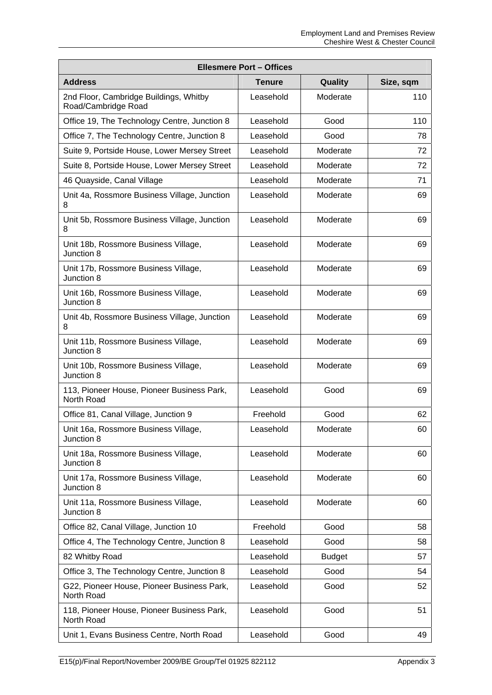| <b>Ellesmere Port - Offices</b>                               |               |               |           |
|---------------------------------------------------------------|---------------|---------------|-----------|
| <b>Address</b>                                                | <b>Tenure</b> | Quality       | Size, sqm |
| 2nd Floor, Cambridge Buildings, Whitby<br>Road/Cambridge Road | Leasehold     | Moderate      | 110       |
| Office 19, The Technology Centre, Junction 8                  | Leasehold     | Good          | 110       |
| Office 7, The Technology Centre, Junction 8                   | Leasehold     | Good          | 78        |
| Suite 9, Portside House, Lower Mersey Street                  | Leasehold     | Moderate      | 72        |
| Suite 8, Portside House, Lower Mersey Street                  | Leasehold     | Moderate      | 72        |
| 46 Quayside, Canal Village                                    | Leasehold     | Moderate      | 71        |
| Unit 4a, Rossmore Business Village, Junction<br>8             | Leasehold     | Moderate      | 69        |
| Unit 5b, Rossmore Business Village, Junction<br>8             | Leasehold     | Moderate      | 69        |
| Unit 18b, Rossmore Business Village,<br>Junction 8            | Leasehold     | Moderate      | 69        |
| Unit 17b, Rossmore Business Village,<br>Junction 8            | Leasehold     | Moderate      | 69        |
| Unit 16b, Rossmore Business Village,<br>Junction 8            | Leasehold     | Moderate      | 69        |
| Unit 4b, Rossmore Business Village, Junction<br>8             | Leasehold     | Moderate      | 69        |
| Unit 11b, Rossmore Business Village,<br>Junction 8            | Leasehold     | Moderate      | 69        |
| Unit 10b, Rossmore Business Village,<br>Junction 8            | Leasehold     | Moderate      | 69        |
| 113, Pioneer House, Pioneer Business Park,<br>North Road      | Leasehold     | Good          | 69        |
| Office 81, Canal Village, Junction 9                          | Freehold      | Good          | 62        |
| Unit 16a, Rossmore Business Village,<br>Junction 8            | Leasehold     | Moderate      | 60        |
| Unit 18a, Rossmore Business Village,<br>Junction 8            | Leasehold     | Moderate      | 60        |
| Unit 17a, Rossmore Business Village,<br>Junction 8            | Leasehold     | Moderate      | 60        |
| Unit 11a, Rossmore Business Village,<br>Junction 8            | Leasehold     | Moderate      | 60        |
| Office 82, Canal Village, Junction 10                         | Freehold      | Good          | 58        |
| Office 4, The Technology Centre, Junction 8                   | Leasehold     | Good          | 58        |
| 82 Whitby Road                                                | Leasehold     | <b>Budget</b> | 57        |
| Office 3, The Technology Centre, Junction 8                   | Leasehold     | Good          | 54        |
| G22, Pioneer House, Pioneer Business Park,<br>North Road      | Leasehold     | Good          | 52        |
| 118, Pioneer House, Pioneer Business Park,<br>North Road      | Leasehold     | Good          | 51        |
| Unit 1, Evans Business Centre, North Road                     | Leasehold     | Good          | 49        |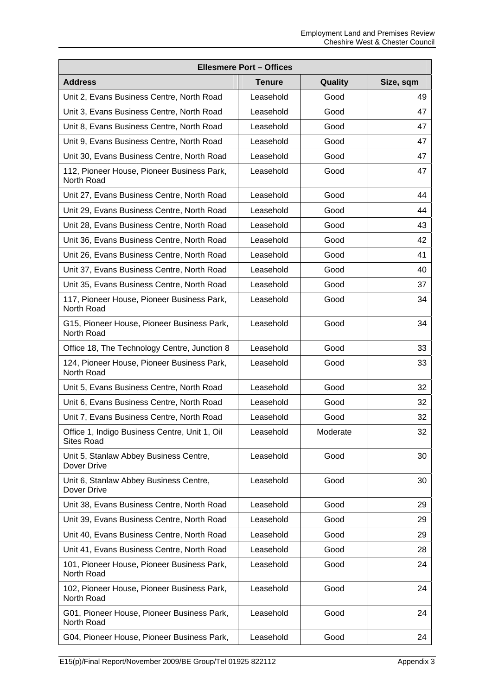| <b>Ellesmere Port - Offices</b>                                    |               |          |           |
|--------------------------------------------------------------------|---------------|----------|-----------|
| <b>Address</b>                                                     | <b>Tenure</b> | Quality  | Size, sqm |
| Unit 2, Evans Business Centre, North Road                          | Leasehold     | Good     | 49        |
| Unit 3, Evans Business Centre, North Road                          | Leasehold     | Good     | 47        |
| Unit 8, Evans Business Centre, North Road                          | Leasehold     | Good     | 47        |
| Unit 9, Evans Business Centre, North Road                          | Leasehold     | Good     | 47        |
| Unit 30, Evans Business Centre, North Road                         | Leasehold     | Good     | 47        |
| 112, Pioneer House, Pioneer Business Park,<br>North Road           | Leasehold     | Good     | 47        |
| Unit 27, Evans Business Centre, North Road                         | Leasehold     | Good     | 44        |
| Unit 29, Evans Business Centre, North Road                         | Leasehold     | Good     | 44        |
| Unit 28, Evans Business Centre, North Road                         | Leasehold     | Good     | 43        |
| Unit 36, Evans Business Centre, North Road                         | Leasehold     | Good     | 42        |
| Unit 26, Evans Business Centre, North Road                         | Leasehold     | Good     | 41        |
| Unit 37, Evans Business Centre, North Road                         | Leasehold     | Good     | 40        |
| Unit 35, Evans Business Centre, North Road                         | Leasehold     | Good     | 37        |
| 117, Pioneer House, Pioneer Business Park,<br>North Road           | Leasehold     | Good     | 34        |
| G15, Pioneer House, Pioneer Business Park,<br>North Road           | Leasehold     | Good     | 34        |
| Office 18, The Technology Centre, Junction 8                       | Leasehold     | Good     | 33        |
| 124, Pioneer House, Pioneer Business Park,<br>North Road           | Leasehold     | Good     | 33        |
| Unit 5, Evans Business Centre, North Road                          | Leasehold     | Good     | 32        |
| Unit 6, Evans Business Centre, North Road                          | Leasehold     | Good     | 32        |
| Unit 7, Evans Business Centre, North Road                          | Leasehold     | Good     | 32        |
| Office 1, Indigo Business Centre, Unit 1, Oil<br><b>Sites Road</b> | Leasehold     | Moderate | 32        |
| Unit 5, Stanlaw Abbey Business Centre,<br>Dover Drive              | Leasehold     | Good     | 30        |
| Unit 6, Stanlaw Abbey Business Centre,<br>Dover Drive              | Leasehold     | Good     | 30        |
| Unit 38, Evans Business Centre, North Road                         | Leasehold     | Good     | 29        |
| Unit 39, Evans Business Centre, North Road                         | Leasehold     | Good     | 29        |
| Unit 40, Evans Business Centre, North Road                         | Leasehold     | Good     | 29        |
| Unit 41, Evans Business Centre, North Road                         | Leasehold     | Good     | 28        |
| 101, Pioneer House, Pioneer Business Park,<br>North Road           | Leasehold     | Good     | 24        |
| 102, Pioneer House, Pioneer Business Park,<br>North Road           | Leasehold     | Good     | 24        |
| G01, Pioneer House, Pioneer Business Park,<br>North Road           | Leasehold     | Good     | 24        |
| G04, Pioneer House, Pioneer Business Park,                         | Leasehold     | Good     | 24        |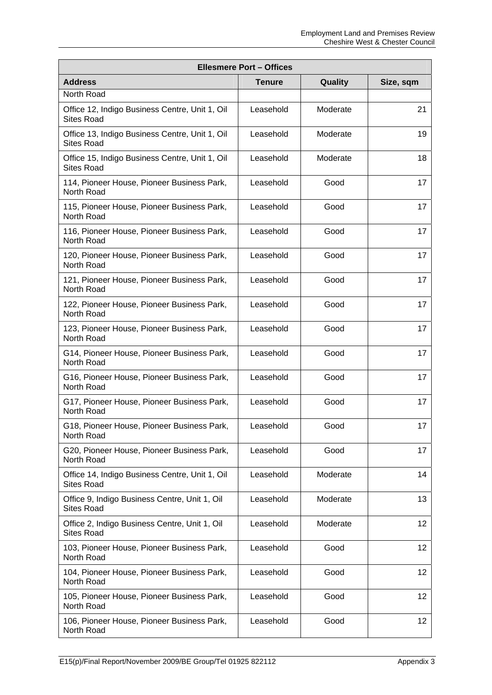| <b>Ellesmere Port - Offices</b>                                     |               |          |           |
|---------------------------------------------------------------------|---------------|----------|-----------|
| <b>Address</b>                                                      | <b>Tenure</b> | Quality  | Size, sqm |
| North Road                                                          |               |          |           |
| Office 12, Indigo Business Centre, Unit 1, Oil<br><b>Sites Road</b> | Leasehold     | Moderate | 21        |
| Office 13, Indigo Business Centre, Unit 1, Oil<br><b>Sites Road</b> | Leasehold     | Moderate | 19        |
| Office 15, Indigo Business Centre, Unit 1, Oil<br><b>Sites Road</b> | Leasehold     | Moderate | 18        |
| 114, Pioneer House, Pioneer Business Park,<br>North Road            | Leasehold     | Good     | 17        |
| 115, Pioneer House, Pioneer Business Park,<br>North Road            | Leasehold     | Good     | 17        |
| 116, Pioneer House, Pioneer Business Park,<br>North Road            | Leasehold     | Good     | 17        |
| 120, Pioneer House, Pioneer Business Park,<br>North Road            | Leasehold     | Good     | 17        |
| 121, Pioneer House, Pioneer Business Park,<br>North Road            | Leasehold     | Good     | 17        |
| 122, Pioneer House, Pioneer Business Park,<br>North Road            | Leasehold     | Good     | 17        |
| 123, Pioneer House, Pioneer Business Park,<br>North Road            | Leasehold     | Good     | 17        |
| G14, Pioneer House, Pioneer Business Park,<br>North Road            | Leasehold     | Good     | 17        |
| G16, Pioneer House, Pioneer Business Park,<br>North Road            | Leasehold     | Good     | 17        |
| G17, Pioneer House, Pioneer Business Park,<br>North Road            | Leasehold     | Good     | 17        |
| G18, Pioneer House, Pioneer Business Park,<br>North Road            | Leasehold     | Good     | 17        |
| G20, Pioneer House, Pioneer Business Park,<br>North Road            | Leasehold     | Good     | 17        |
| Office 14, Indigo Business Centre, Unit 1, Oil<br><b>Sites Road</b> | Leasehold     | Moderate | 14        |
| Office 9, Indigo Business Centre, Unit 1, Oil<br><b>Sites Road</b>  | Leasehold     | Moderate | 13        |
| Office 2, Indigo Business Centre, Unit 1, Oil<br><b>Sites Road</b>  | Leasehold     | Moderate | 12        |
| 103, Pioneer House, Pioneer Business Park,<br>North Road            | Leasehold     | Good     | 12        |
| 104, Pioneer House, Pioneer Business Park,<br>North Road            | Leasehold     | Good     | 12        |
| 105, Pioneer House, Pioneer Business Park,<br>North Road            | Leasehold     | Good     | 12        |
| 106, Pioneer House, Pioneer Business Park,<br>North Road            | Leasehold     | Good     | 12        |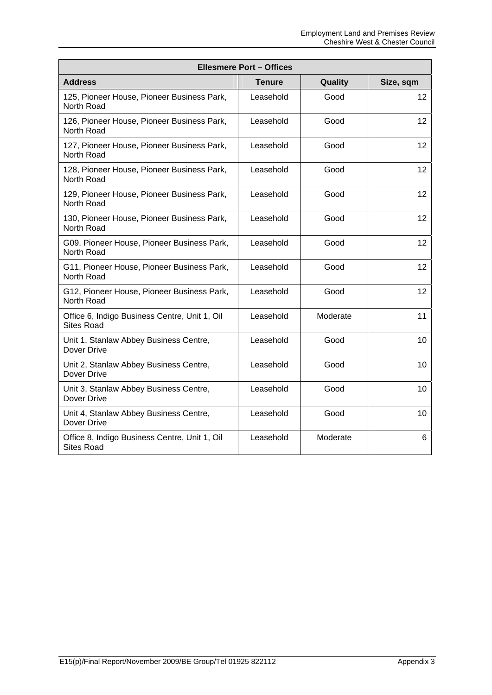| <b>Ellesmere Port - Offices</b>                                    |               |          |           |
|--------------------------------------------------------------------|---------------|----------|-----------|
| <b>Address</b>                                                     | <b>Tenure</b> | Quality  | Size, sqm |
| 125, Pioneer House, Pioneer Business Park,<br>North Road           | Leasehold     | Good     | 12        |
| 126, Pioneer House, Pioneer Business Park,<br>North Road           | Leasehold     | Good     | 12        |
| 127, Pioneer House, Pioneer Business Park,<br>North Road           | Leasehold     | Good     | 12        |
| 128, Pioneer House, Pioneer Business Park,<br>North Road           | Leasehold     | Good     | 12        |
| 129, Pioneer House, Pioneer Business Park,<br>North Road           | Leasehold     | Good     | 12        |
| 130, Pioneer House, Pioneer Business Park,<br>North Road           | Leasehold     | Good     | 12        |
| G09, Pioneer House, Pioneer Business Park,<br>North Road           | Leasehold     | Good     | 12        |
| G11, Pioneer House, Pioneer Business Park,<br>North Road           | Leasehold     | Good     | 12        |
| G12, Pioneer House, Pioneer Business Park,<br>North Road           | Leasehold     | Good     | 12        |
| Office 6, Indigo Business Centre, Unit 1, Oil<br><b>Sites Road</b> | Leasehold     | Moderate | 11        |
| Unit 1, Stanlaw Abbey Business Centre,<br>Dover Drive              | Leasehold     | Good     | 10        |
| Unit 2, Stanlaw Abbey Business Centre,<br>Dover Drive              | Leasehold     | Good     | 10        |
| Unit 3, Stanlaw Abbey Business Centre,<br>Dover Drive              | Leasehold     | Good     | 10        |
| Unit 4, Stanlaw Abbey Business Centre,<br>Dover Drive              | Leasehold     | Good     | 10        |
| Office 8, Indigo Business Centre, Unit 1, Oil<br><b>Sites Road</b> | Leasehold     | Moderate | 6         |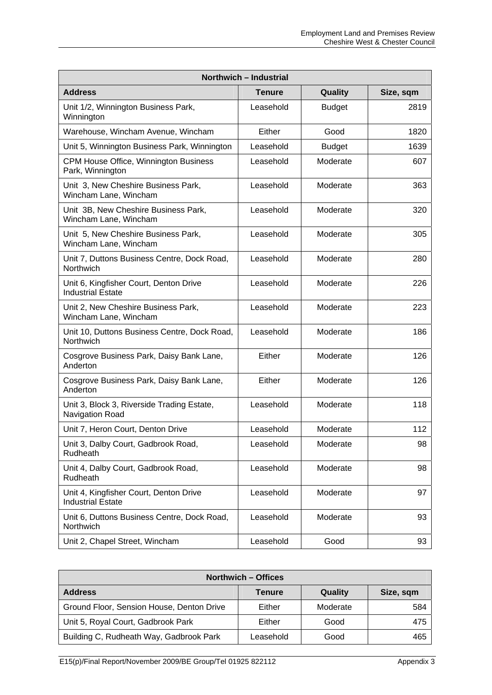| Northwich - Industrial                                             |               |               |           |
|--------------------------------------------------------------------|---------------|---------------|-----------|
| <b>Address</b>                                                     | <b>Tenure</b> | Quality       | Size, sqm |
| Unit 1/2, Winnington Business Park,<br>Winnington                  | Leasehold     | <b>Budget</b> | 2819      |
| Warehouse, Wincham Avenue, Wincham                                 | Either        | Good          | 1820      |
| Unit 5, Winnington Business Park, Winnington                       | Leasehold     | <b>Budget</b> | 1639      |
| CPM House Office, Winnington Business<br>Park, Winnington          | Leasehold     | Moderate      | 607       |
| Unit 3, New Cheshire Business Park,<br>Wincham Lane, Wincham       | Leasehold     | Moderate      | 363       |
| Unit 3B, New Cheshire Business Park,<br>Wincham Lane, Wincham      | Leasehold     | Moderate      | 320       |
| Unit 5, New Cheshire Business Park,<br>Wincham Lane, Wincham       | Leasehold     | Moderate      | 305       |
| Unit 7, Duttons Business Centre, Dock Road,<br>Northwich           | Leasehold     | Moderate      | 280       |
| Unit 6, Kingfisher Court, Denton Drive<br><b>Industrial Estate</b> | Leasehold     | Moderate      | 226       |
| Unit 2, New Cheshire Business Park,<br>Wincham Lane, Wincham       | Leasehold     | Moderate      | 223       |
| Unit 10, Duttons Business Centre, Dock Road,<br>Northwich          | Leasehold     | Moderate      | 186       |
| Cosgrove Business Park, Daisy Bank Lane,<br>Anderton               | Either        | Moderate      | 126       |
| Cosgrove Business Park, Daisy Bank Lane,<br>Anderton               | Either        | Moderate      | 126       |
| Unit 3, Block 3, Riverside Trading Estate,<br>Navigation Road      | Leasehold     | Moderate      | 118       |
| Unit 7, Heron Court, Denton Drive                                  | Leasehold     | Moderate      | 112       |
| Unit 3, Dalby Court, Gadbrook Road,<br>Rudheath                    | Leasehold     | Moderate      | 98        |
| Unit 4, Dalby Court, Gadbrook Road,<br>Rudheath                    | Leasehold     | Moderate      | 98        |
| Unit 4, Kingfisher Court, Denton Drive<br><b>Industrial Estate</b> | Leasehold     | Moderate      | 97        |
| Unit 6, Duttons Business Centre, Dock Road,<br>Northwich           | Leasehold     | Moderate      | 93        |
| Unit 2, Chapel Street, Wincham                                     | Leasehold     | Good          | 93        |

| <b>Northwich – Offices</b>                |               |                |           |
|-------------------------------------------|---------------|----------------|-----------|
| <b>Address</b>                            | <b>Tenure</b> | <b>Quality</b> | Size, sqm |
| Ground Floor, Sension House, Denton Drive | Either        | Moderate       | 584       |
| Unit 5, Royal Court, Gadbrook Park        | Either        | Good           | 475       |
| Building C, Rudheath Way, Gadbrook Park   | Leasehold     | Good           | 465       |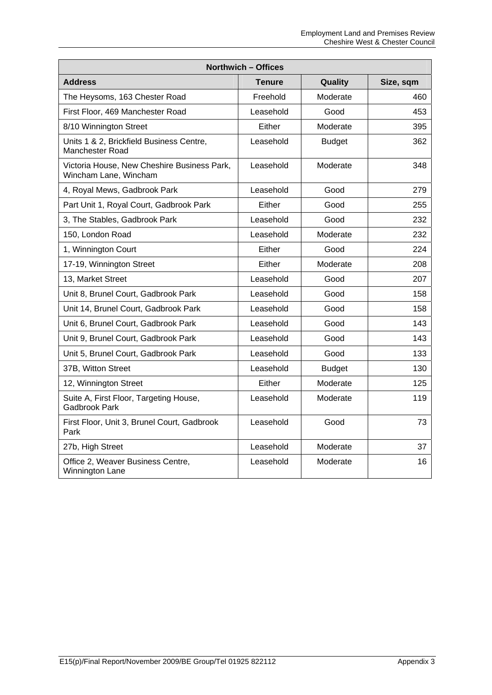| <b>Northwich - Offices</b>                                           |               |               |           |
|----------------------------------------------------------------------|---------------|---------------|-----------|
| <b>Address</b>                                                       | <b>Tenure</b> | Quality       | Size, sqm |
| The Heysoms, 163 Chester Road                                        | Freehold      | Moderate      | 460       |
| First Floor, 469 Manchester Road                                     | Leasehold     | Good          | 453       |
| 8/10 Winnington Street                                               | Either        | Moderate      | 395       |
| Units 1 & 2, Brickfield Business Centre,<br><b>Manchester Road</b>   | Leasehold     | <b>Budget</b> | 362       |
| Victoria House, New Cheshire Business Park,<br>Wincham Lane, Wincham | Leasehold     | Moderate      | 348       |
| 4, Royal Mews, Gadbrook Park                                         | Leasehold     | Good          | 279       |
| Part Unit 1, Royal Court, Gadbrook Park                              | Either        | Good          | 255       |
| 3, The Stables, Gadbrook Park                                        | Leasehold     | Good          | 232       |
| 150, London Road                                                     | Leasehold     | Moderate      | 232       |
| 1, Winnington Court                                                  | Either        | Good          | 224       |
| 17-19, Winnington Street                                             | Either        | Moderate      | 208       |
| 13, Market Street                                                    | Leasehold     | Good          | 207       |
| Unit 8, Brunel Court, Gadbrook Park                                  | Leasehold     | Good          | 158       |
| Unit 14, Brunel Court, Gadbrook Park                                 | Leasehold     | Good          | 158       |
| Unit 6, Brunel Court, Gadbrook Park                                  | Leasehold     | Good          | 143       |
| Unit 9, Brunel Court, Gadbrook Park                                  | Leasehold     | Good          | 143       |
| Unit 5, Brunel Court, Gadbrook Park                                  | Leasehold     | Good          | 133       |
| 37B, Witton Street                                                   | Leasehold     | <b>Budget</b> | 130       |
| 12, Winnington Street                                                | Either        | Moderate      | 125       |
| Suite A, First Floor, Targeting House,<br><b>Gadbrook Park</b>       | Leasehold     | Moderate      | 119       |
| First Floor, Unit 3, Brunel Court, Gadbrook<br>Park                  | Leasehold     | Good          | 73        |
| 27b, High Street                                                     | Leasehold     | Moderate      | 37        |
| Office 2, Weaver Business Centre,<br>Winnington Lane                 | Leasehold     | Moderate      | 16        |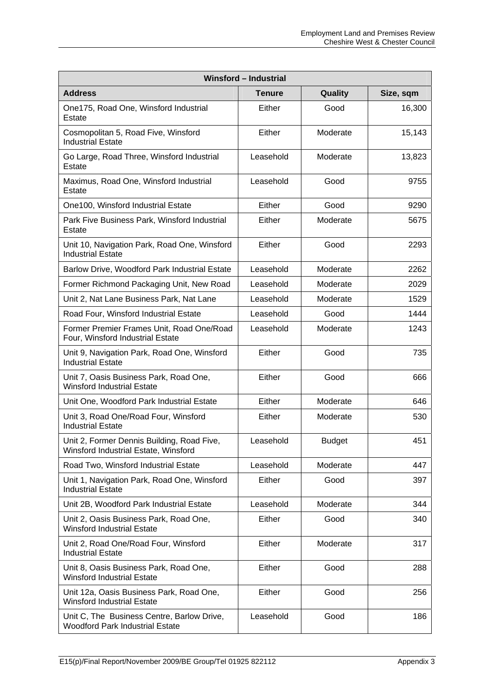| <b>Winsford - Industrial</b>                                                         |               |               |           |
|--------------------------------------------------------------------------------------|---------------|---------------|-----------|
| <b>Address</b>                                                                       | <b>Tenure</b> | Quality       | Size, sqm |
| One175, Road One, Winsford Industrial<br>Estate                                      | Either        | Good          | 16,300    |
| Cosmopolitan 5, Road Five, Winsford<br><b>Industrial Estate</b>                      | Either        | Moderate      | 15,143    |
| Go Large, Road Three, Winsford Industrial<br>Estate                                  | Leasehold     | Moderate      | 13,823    |
| Maximus, Road One, Winsford Industrial<br>Estate                                     | Leasehold     | Good          | 9755      |
| One100, Winsford Industrial Estate                                                   | Either        | Good          | 9290      |
| Park Five Business Park, Winsford Industrial<br>Estate                               | Either        | Moderate      | 5675      |
| Unit 10, Navigation Park, Road One, Winsford<br><b>Industrial Estate</b>             | Either        | Good          | 2293      |
| Barlow Drive, Woodford Park Industrial Estate                                        | Leasehold     | Moderate      | 2262      |
| Former Richmond Packaging Unit, New Road                                             | Leasehold     | Moderate      | 2029      |
| Unit 2, Nat Lane Business Park, Nat Lane                                             | Leasehold     | Moderate      | 1529      |
| Road Four, Winsford Industrial Estate                                                | Leasehold     | Good          | 1444      |
| Former Premier Frames Unit, Road One/Road<br>Four, Winsford Industrial Estate        | Leasehold     | Moderate      | 1243      |
| Unit 9, Navigation Park, Road One, Winsford<br><b>Industrial Estate</b>              | Either        | Good          | 735       |
| Unit 7, Oasis Business Park, Road One,<br><b>Winsford Industrial Estate</b>          | Either        | Good          | 666       |
| Unit One, Woodford Park Industrial Estate                                            | Either        | Moderate      | 646       |
| Unit 3, Road One/Road Four, Winsford<br><b>Industrial Estate</b>                     | Either        | Moderate      | 530       |
| Unit 2, Former Dennis Building, Road Five,<br>Winsford Industrial Estate, Winsford   | Leasehold     | <b>Budget</b> | 451       |
| Road Two, Winsford Industrial Estate                                                 | Leasehold     | Moderate      | 447       |
| Unit 1, Navigation Park, Road One, Winsford<br><b>Industrial Estate</b>              | Either        | Good          | 397       |
| Unit 2B, Woodford Park Industrial Estate                                             | Leasehold     | Moderate      | 344       |
| Unit 2, Oasis Business Park, Road One,<br><b>Winsford Industrial Estate</b>          | Either        | Good          | 340       |
| Unit 2, Road One/Road Four, Winsford<br><b>Industrial Estate</b>                     | Either        | Moderate      | 317       |
| Unit 8, Oasis Business Park, Road One,<br><b>Winsford Industrial Estate</b>          | Either        | Good          | 288       |
| Unit 12a, Oasis Business Park, Road One,<br><b>Winsford Industrial Estate</b>        | Either        | Good          | 256       |
| Unit C, The Business Centre, Barlow Drive,<br><b>Woodford Park Industrial Estate</b> | Leasehold     | Good          | 186       |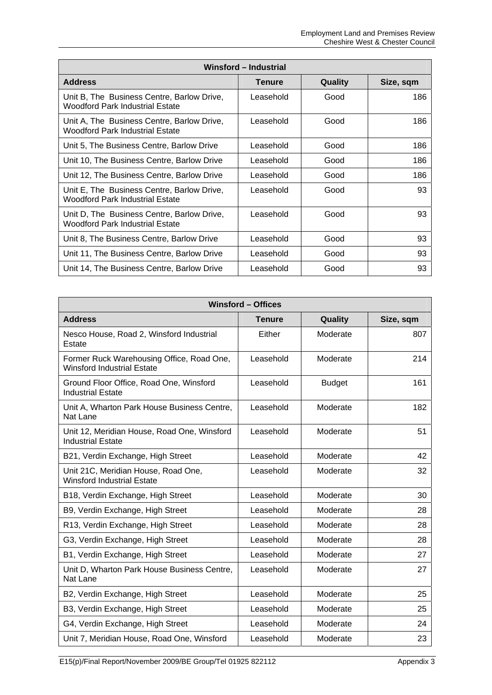| Winsford - Industrial                                                         |               |         |           |
|-------------------------------------------------------------------------------|---------------|---------|-----------|
| <b>Address</b>                                                                | <b>Tenure</b> | Quality | Size, sqm |
| Unit B, The Business Centre, Barlow Drive,<br>Woodford Park Industrial Estate | Leasehold     | Good    | 186       |
| Unit A, The Business Centre, Barlow Drive,<br>Woodford Park Industrial Estate | Leasehold     | Good    | 186       |
| Unit 5, The Business Centre, Barlow Drive                                     | Leasehold     | Good    | 186       |
| Unit 10, The Business Centre, Barlow Drive                                    | Leasehold     | Good    | 186       |
| Unit 12, The Business Centre, Barlow Drive                                    | Leasehold     | Good    | 186       |
| Unit E, The Business Centre, Barlow Drive,<br>Woodford Park Industrial Estate | Leasehold     | Good    | 93        |
| Unit D, The Business Centre, Barlow Drive,<br>Woodford Park Industrial Estate | Leasehold     | Good    | 93        |
| Unit 8, The Business Centre, Barlow Drive                                     | Leasehold     | Good    | 93        |
| Unit 11, The Business Centre, Barlow Drive                                    | Leasehold     | Good    | 93        |
| Unit 14, The Business Centre, Barlow Drive                                    | Leasehold     | Good    | 93        |

| <b>Winsford - Offices</b>                                                      |               |               |           |
|--------------------------------------------------------------------------------|---------------|---------------|-----------|
| <b>Address</b>                                                                 | <b>Tenure</b> | Quality       | Size, sqm |
| Nesco House, Road 2, Winsford Industrial<br>Estate                             | Either        | Moderate      | 807       |
| Former Ruck Warehousing Office, Road One,<br><b>Winsford Industrial Estate</b> | Leasehold     | Moderate      | 214       |
| Ground Floor Office, Road One, Winsford<br><b>Industrial Estate</b>            | Leasehold     | <b>Budget</b> | 161       |
| Unit A, Wharton Park House Business Centre,<br>Nat Lane                        | Leasehold     | Moderate      | 182       |
| Unit 12, Meridian House, Road One, Winsford<br><b>Industrial Estate</b>        | Leasehold     | Moderate      | 51        |
| B21, Verdin Exchange, High Street                                              | Leasehold     | Moderate      | 42        |
| Unit 21C, Meridian House, Road One,<br><b>Winsford Industrial Estate</b>       | Leasehold     | Moderate      | 32        |
| B18, Verdin Exchange, High Street                                              | Leasehold     | Moderate      | 30        |
| B9, Verdin Exchange, High Street                                               | Leasehold     | Moderate      | 28        |
| R13, Verdin Exchange, High Street                                              | Leasehold     | Moderate      | 28        |
| G3, Verdin Exchange, High Street                                               | Leasehold     | Moderate      | 28        |
| B1, Verdin Exchange, High Street                                               | Leasehold     | Moderate      | 27        |
| Unit D, Wharton Park House Business Centre,<br>Nat Lane                        | Leasehold     | Moderate      | 27        |
| B2, Verdin Exchange, High Street                                               | Leasehold     | Moderate      | 25        |
| B3, Verdin Exchange, High Street                                               | Leasehold     | Moderate      | 25        |
| G4, Verdin Exchange, High Street                                               | Leasehold     | Moderate      | 24        |
| Unit 7, Meridian House, Road One, Winsford                                     | Leasehold     | Moderate      | 23        |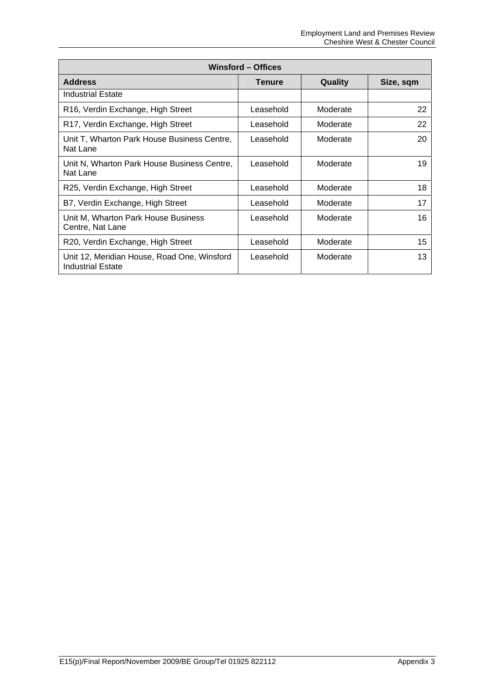| <b>Winsford - Offices</b>                                               |               |          |           |
|-------------------------------------------------------------------------|---------------|----------|-----------|
| <b>Address</b>                                                          | <b>Tenure</b> | Quality  | Size, sqm |
| Industrial Estate                                                       |               |          |           |
| R16, Verdin Exchange, High Street                                       | Leasehold     | Moderate | 22        |
| R17, Verdin Exchange, High Street                                       | Leasehold     | Moderate | 22        |
| Unit T, Wharton Park House Business Centre,<br>Nat Lane                 | Leasehold     | Moderate | 20        |
| Unit N, Wharton Park House Business Centre,<br>Nat Lane                 | Leasehold     | Moderate | 19        |
| R25, Verdin Exchange, High Street                                       | Leasehold     | Moderate | 18        |
| B7, Verdin Exchange, High Street                                        | Leasehold     | Moderate | 17        |
| Unit M, Wharton Park House Business<br>Centre, Nat Lane                 | Leasehold     | Moderate | 16        |
| R20, Verdin Exchange, High Street                                       | Leasehold     | Moderate | 15        |
| Unit 12, Meridian House, Road One, Winsford<br><b>Industrial Estate</b> | Leasehold     | Moderate | 13        |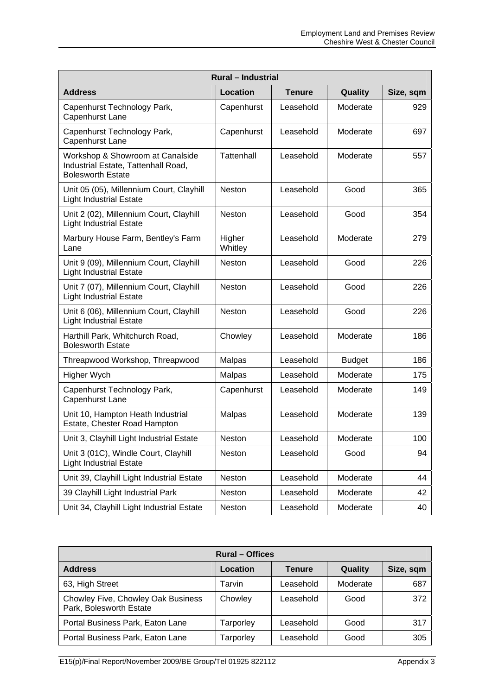| <b>Rural - Industrial</b>                                                                           |                   |               |               |           |  |  |  |  |
|-----------------------------------------------------------------------------------------------------|-------------------|---------------|---------------|-----------|--|--|--|--|
| <b>Address</b>                                                                                      | <b>Location</b>   | <b>Tenure</b> | Quality       | Size, sqm |  |  |  |  |
| Capenhurst Technology Park,<br>Capenhurst Lane                                                      | Capenhurst        | Leasehold     | Moderate      | 929       |  |  |  |  |
| Capenhurst Technology Park,<br>Capenhurst Lane                                                      | Capenhurst        | Leasehold     | Moderate      | 697       |  |  |  |  |
| Workshop & Showroom at Canalside<br>Industrial Estate, Tattenhall Road,<br><b>Bolesworth Estate</b> | <b>Tattenhall</b> | Leasehold     | Moderate      | 557       |  |  |  |  |
| Unit 05 (05), Millennium Court, Clayhill<br><b>Light Industrial Estate</b>                          | Neston            | Leasehold     | Good          | 365       |  |  |  |  |
| Unit 2 (02), Millennium Court, Clayhill<br><b>Light Industrial Estate</b>                           | Neston            | Leasehold     | Good          | 354       |  |  |  |  |
| Marbury House Farm, Bentley's Farm<br>Lane                                                          | Higher<br>Whitley | Leasehold     | Moderate      | 279       |  |  |  |  |
| Unit 9 (09), Millennium Court, Clayhill<br><b>Light Industrial Estate</b>                           | <b>Neston</b>     | Leasehold     | Good          | 226       |  |  |  |  |
| Unit 7 (07), Millennium Court, Clayhill<br><b>Light Industrial Estate</b>                           | <b>Neston</b>     | Leasehold     | Good          | 226       |  |  |  |  |
| Unit 6 (06), Millennium Court, Clayhill<br><b>Light Industrial Estate</b>                           | Neston            | Leasehold     | Good          | 226       |  |  |  |  |
| Harthill Park, Whitchurch Road,<br><b>Bolesworth Estate</b>                                         | Chowley           | Leasehold     | Moderate      | 186       |  |  |  |  |
| Threapwood Workshop, Threapwood                                                                     | Malpas            | Leasehold     | <b>Budget</b> | 186       |  |  |  |  |
| Higher Wych                                                                                         | Malpas            | Leasehold     | Moderate      | 175       |  |  |  |  |
| Capenhurst Technology Park,<br>Capenhurst Lane                                                      | Capenhurst        | Leasehold     | Moderate      | 149       |  |  |  |  |
| Unit 10, Hampton Heath Industrial<br>Estate, Chester Road Hampton                                   | Malpas            | Leasehold     | Moderate      | 139       |  |  |  |  |
| Unit 3, Clayhill Light Industrial Estate                                                            | Neston            | Leasehold     | Moderate      | 100       |  |  |  |  |
| Unit 3 (01C), Windle Court, Clayhill<br><b>Light Industrial Estate</b>                              | Neston            | Leasehold     | Good          | 94        |  |  |  |  |
| Unit 39, Clayhill Light Industrial Estate                                                           | Neston            | Leasehold     | Moderate      | 44        |  |  |  |  |
| 39 Clayhill Light Industrial Park                                                                   | Neston            | Leasehold     | Moderate      | 42        |  |  |  |  |
| Unit 34, Clayhill Light Industrial Estate                                                           | Neston            | Leasehold     | Moderate      | 40        |  |  |  |  |

| <b>Rural – Offices</b>                                        |           |               |          |           |  |  |  |  |
|---------------------------------------------------------------|-----------|---------------|----------|-----------|--|--|--|--|
| <b>Address</b>                                                | Location  | <b>Tenure</b> | Quality  | Size, sqm |  |  |  |  |
| 63, High Street                                               | Tarvin    | Leasehold     | Moderate | 687       |  |  |  |  |
| Chowley Five, Chowley Oak Business<br>Park, Bolesworth Estate | Chowley   | Leasehold     | Good     | 372       |  |  |  |  |
| Portal Business Park, Eaton Lane                              | Tarporley | Leasehold     | Good     | 317       |  |  |  |  |
| Portal Business Park, Eaton Lane                              | Tarporley | Leasehold     | Good     | 305       |  |  |  |  |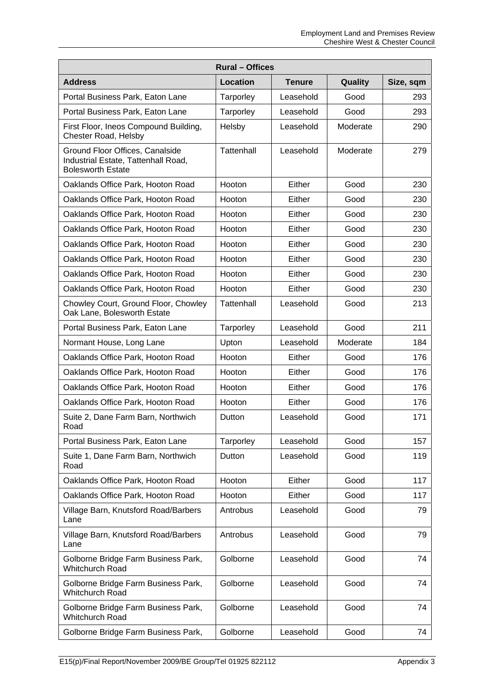| <b>Rural - Offices</b>                                                                             |            |               |          |           |  |  |  |  |
|----------------------------------------------------------------------------------------------------|------------|---------------|----------|-----------|--|--|--|--|
| <b>Address</b>                                                                                     | Location   | <b>Tenure</b> | Quality  | Size, sqm |  |  |  |  |
| Portal Business Park, Eaton Lane                                                                   | Tarporley  | Leasehold     | Good     | 293       |  |  |  |  |
| Portal Business Park, Eaton Lane                                                                   | Tarporley  | Leasehold     | Good     | 293       |  |  |  |  |
| First Floor, Ineos Compound Building,<br>Chester Road, Helsby                                      | Helsby     | Leasehold     | Moderate | 290       |  |  |  |  |
| Ground Floor Offices, Canalside<br>Industrial Estate, Tattenhall Road,<br><b>Bolesworth Estate</b> | Tattenhall | Leasehold     | Moderate | 279       |  |  |  |  |
| Oaklands Office Park, Hooton Road                                                                  | Hooton     | Either        | Good     | 230       |  |  |  |  |
| Oaklands Office Park, Hooton Road                                                                  | Hooton     | Either        | Good     | 230       |  |  |  |  |
| Oaklands Office Park, Hooton Road                                                                  | Hooton     | Either        | Good     | 230       |  |  |  |  |
| Oaklands Office Park, Hooton Road                                                                  | Hooton     | Either        | Good     | 230       |  |  |  |  |
| Oaklands Office Park, Hooton Road                                                                  | Hooton     | Either        | Good     | 230       |  |  |  |  |
| Oaklands Office Park, Hooton Road                                                                  | Hooton     | Either        | Good     | 230       |  |  |  |  |
| Oaklands Office Park, Hooton Road                                                                  | Hooton     | Either        | Good     | 230       |  |  |  |  |
| Oaklands Office Park, Hooton Road                                                                  | Hooton     | Either        | Good     | 230       |  |  |  |  |
| Chowley Court, Ground Floor, Chowley<br>Oak Lane, Bolesworth Estate                                | Tattenhall | Leasehold     | Good     | 213       |  |  |  |  |
| Portal Business Park, Eaton Lane                                                                   | Tarporley  | Leasehold     | Good     | 211       |  |  |  |  |
| Normant House, Long Lane                                                                           | Upton      | Leasehold     | Moderate | 184       |  |  |  |  |
| Oaklands Office Park, Hooton Road                                                                  | Hooton     | Either        | Good     | 176       |  |  |  |  |
| Oaklands Office Park, Hooton Road                                                                  | Hooton     | Either        | Good     | 176       |  |  |  |  |
| Oaklands Office Park, Hooton Road                                                                  | Hooton     | Either        | Good     | 176       |  |  |  |  |
| Oaklands Office Park, Hooton Road                                                                  | Hooton     | Either        | Good     | 176       |  |  |  |  |
| Suite 2, Dane Farm Barn, Northwich<br>Road                                                         | Dutton     | Leasehold     | Good     | 171       |  |  |  |  |
| Portal Business Park, Eaton Lane                                                                   | Tarporley  | Leasehold     | Good     | 157       |  |  |  |  |
| Suite 1, Dane Farm Barn, Northwich<br>Road                                                         | Dutton     | Leasehold     | Good     | 119       |  |  |  |  |
| Oaklands Office Park, Hooton Road                                                                  | Hooton     | Either        | Good     | 117       |  |  |  |  |
| Oaklands Office Park, Hooton Road                                                                  | Hooton     | Either        | Good     | 117       |  |  |  |  |
| Village Barn, Knutsford Road/Barbers<br>Lane                                                       | Antrobus   | Leasehold     | Good     | 79        |  |  |  |  |
| Village Barn, Knutsford Road/Barbers<br>Lane                                                       | Antrobus   | Leasehold     | Good     | 79        |  |  |  |  |
| Golborne Bridge Farm Business Park,<br><b>Whitchurch Road</b>                                      | Golborne   | Leasehold     | Good     | 74        |  |  |  |  |
| Golborne Bridge Farm Business Park,<br>Whitchurch Road                                             | Golborne   | Leasehold     | Good     | 74        |  |  |  |  |
| Golborne Bridge Farm Business Park,<br><b>Whitchurch Road</b>                                      | Golborne   | Leasehold     | Good     | 74        |  |  |  |  |
| Golborne Bridge Farm Business Park,                                                                | Golborne   | Leasehold     | Good     | 74        |  |  |  |  |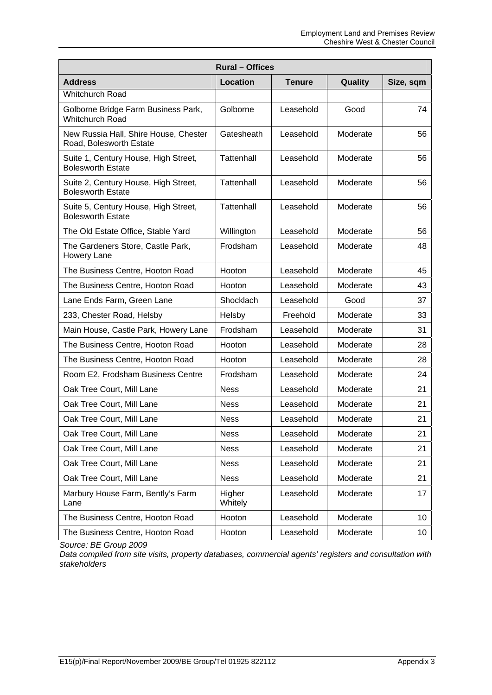| <b>Rural - Offices</b>                                           |                   |               |          |           |  |  |  |  |
|------------------------------------------------------------------|-------------------|---------------|----------|-----------|--|--|--|--|
| <b>Address</b>                                                   | Location          | <b>Tenure</b> | Quality  | Size, sqm |  |  |  |  |
| <b>Whitchurch Road</b>                                           |                   |               |          |           |  |  |  |  |
| Golborne Bridge Farm Business Park,<br><b>Whitchurch Road</b>    | Golborne          | Leasehold     | Good     | 74        |  |  |  |  |
| New Russia Hall, Shire House, Chester<br>Road, Bolesworth Estate | Gatesheath        | Leasehold     | Moderate | 56        |  |  |  |  |
| Suite 1, Century House, High Street,<br><b>Bolesworth Estate</b> | Tattenhall        | Leasehold     | Moderate | 56        |  |  |  |  |
| Suite 2, Century House, High Street,<br><b>Bolesworth Estate</b> | Tattenhall        | Leasehold     | Moderate | 56        |  |  |  |  |
| Suite 5, Century House, High Street,<br><b>Bolesworth Estate</b> | Tattenhall        | Leasehold     | Moderate | 56        |  |  |  |  |
| The Old Estate Office, Stable Yard                               | Willington        | Leasehold     | Moderate | 56        |  |  |  |  |
| The Gardeners Store, Castle Park,<br>Howery Lane                 | Frodsham          | Leasehold     | Moderate | 48        |  |  |  |  |
| The Business Centre, Hooton Road                                 | Hooton            | Leasehold     | Moderate | 45        |  |  |  |  |
| The Business Centre, Hooton Road                                 | Hooton            | Leasehold     | Moderate | 43        |  |  |  |  |
| Lane Ends Farm, Green Lane                                       | Shocklach         | Leasehold     | Good     | 37        |  |  |  |  |
| 233, Chester Road, Helsby                                        | Helsby            | Freehold      | Moderate | 33        |  |  |  |  |
| Main House, Castle Park, Howery Lane                             | Frodsham          | Leasehold     | Moderate | 31        |  |  |  |  |
| The Business Centre, Hooton Road                                 | Hooton            | Leasehold     | Moderate | 28        |  |  |  |  |
| The Business Centre, Hooton Road                                 | Hooton            | Leasehold     | Moderate | 28        |  |  |  |  |
| Room E2, Frodsham Business Centre                                | Frodsham          | Leasehold     | Moderate | 24        |  |  |  |  |
| Oak Tree Court, Mill Lane                                        | <b>Ness</b>       | Leasehold     | Moderate | 21        |  |  |  |  |
| Oak Tree Court, Mill Lane                                        | <b>Ness</b>       | Leasehold     | Moderate | 21        |  |  |  |  |
| Oak Tree Court, Mill Lane                                        | <b>Ness</b>       | Leasehold     | Moderate | 21        |  |  |  |  |
| Oak Tree Court, Mill Lane                                        | <b>Ness</b>       | Leasehold     | Moderate | 21        |  |  |  |  |
| Oak Tree Court, Mill Lane                                        | <b>Ness</b>       | Leasehold     | Moderate | 21        |  |  |  |  |
| Oak Tree Court, Mill Lane                                        | <b>Ness</b>       | Leasehold     | Moderate | 21        |  |  |  |  |
| Oak Tree Court, Mill Lane                                        | <b>Ness</b>       | Leasehold     | Moderate | 21        |  |  |  |  |
| Marbury House Farm, Bently's Farm<br>Lane                        | Higher<br>Whitely | Leasehold     | Moderate | 17        |  |  |  |  |
| The Business Centre, Hooton Road                                 | Hooton            | Leasehold     | Moderate | 10        |  |  |  |  |
| The Business Centre, Hooton Road                                 | Hooton            | Leasehold     | Moderate | 10        |  |  |  |  |

*Source: BE Group 2009* 

*Data compiled from site visits, property databases, commercial agents' registers and consultation with stakeholders*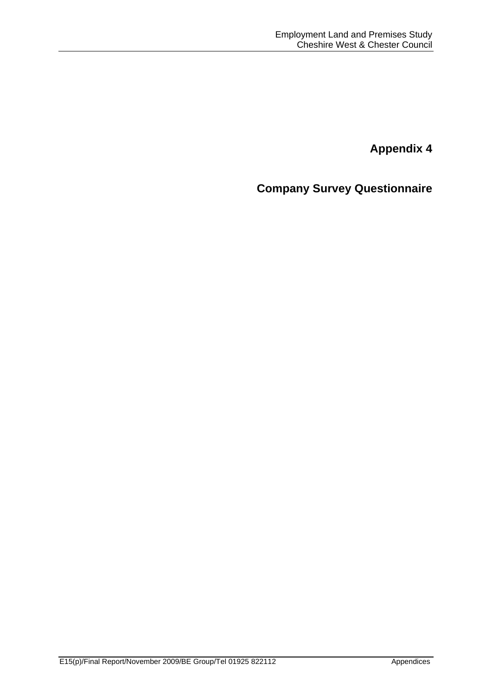**Company Survey Questionnaire**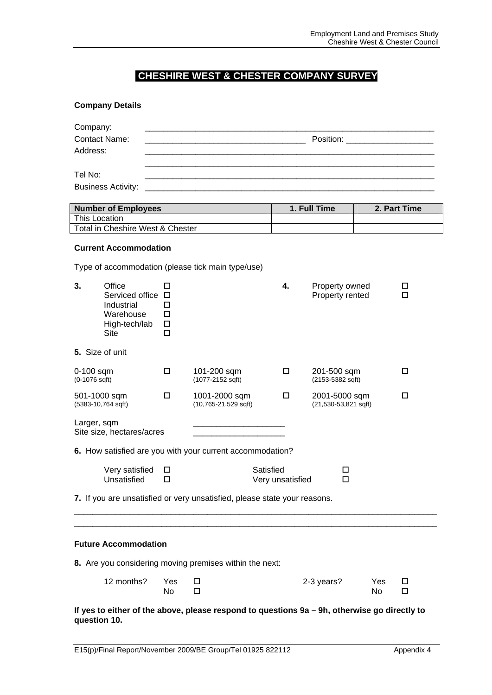# **CHESHIRE WEST & CHESTER COMPANY SURVEY**

### **Company Details**

Larger, sqm

Site size, hectares/acres

| Company:<br>Address:                    | <b>Contact Name:</b>                                                                                                 | Position: ______________________      |                                                   |                                            |                                   |  |              |  |  |  |
|-----------------------------------------|----------------------------------------------------------------------------------------------------------------------|---------------------------------------|---------------------------------------------------|--------------------------------------------|-----------------------------------|--|--------------|--|--|--|
| Tel No:                                 | <b>Business Activity:</b>                                                                                            |                                       |                                                   |                                            |                                   |  |              |  |  |  |
|                                         | <b>Number of Employees</b>                                                                                           |                                       |                                                   |                                            | 1. Full Time                      |  | 2. Part Time |  |  |  |
| This Location                           | Total in Cheshire West & Chester                                                                                     |                                       |                                                   |                                            |                                   |  |              |  |  |  |
| 3.                                      | <b>Current Accommodation</b><br>Office<br>Serviced office<br>Industrial<br>Warehouse<br>High-tech/lab<br><b>Site</b> | п<br>$\Box$<br>П<br>□<br>□<br>□       | Type of accommodation (please tick main type/use) | 4.                                         | Property owned<br>Property rented |  | □<br>П       |  |  |  |
|                                         | 5. Size of unit                                                                                                      |                                       |                                                   |                                            |                                   |  |              |  |  |  |
| $0-100$ sqm<br>□<br>$(0-1076 sqft)$     |                                                                                                                      |                                       | 101-200 sqm<br>(1077-2152 sqft)                   | □                                          | 201-500 sqm<br>(2153-5382 sqft)   |  | □            |  |  |  |
| 501-1000 sqm<br>п<br>(5383-10,764 sqft) |                                                                                                                      | 1001-2000 sqm<br>(10,765-21,529 sqft) | П                                                 | 2001-5000 sqm<br>П<br>(21,530-53,821 sqft) |                                   |  |              |  |  |  |

**6.** How satisfied are you with your current accommodation?

| Very satisfied $\Box$ | Satisfied        |  |
|-----------------------|------------------|--|
| Unsatisfied           | Very unsatisfied |  |

**7.** If you are unsatisfied or very unsatisfied, please state your reasons.

| <b>Future Accommodation</b>                             |            |        |                                     |            |                  |        |
|---------------------------------------------------------|------------|--------|-------------------------------------|------------|------------------|--------|
| 8. Are you considering moving premises within the next: |            |        |                                     |            |                  |        |
| 12 months?                                              | Yes<br>No. | □<br>□ |                                     | 2-3 years? | <b>Yes</b><br>No | □<br>□ |
| .                                                       |            |        | the contract of the contract of the |            |                  |        |

**If yes to either of the above, please respond to questions 9a – 9h, otherwise go directly to question 10.**